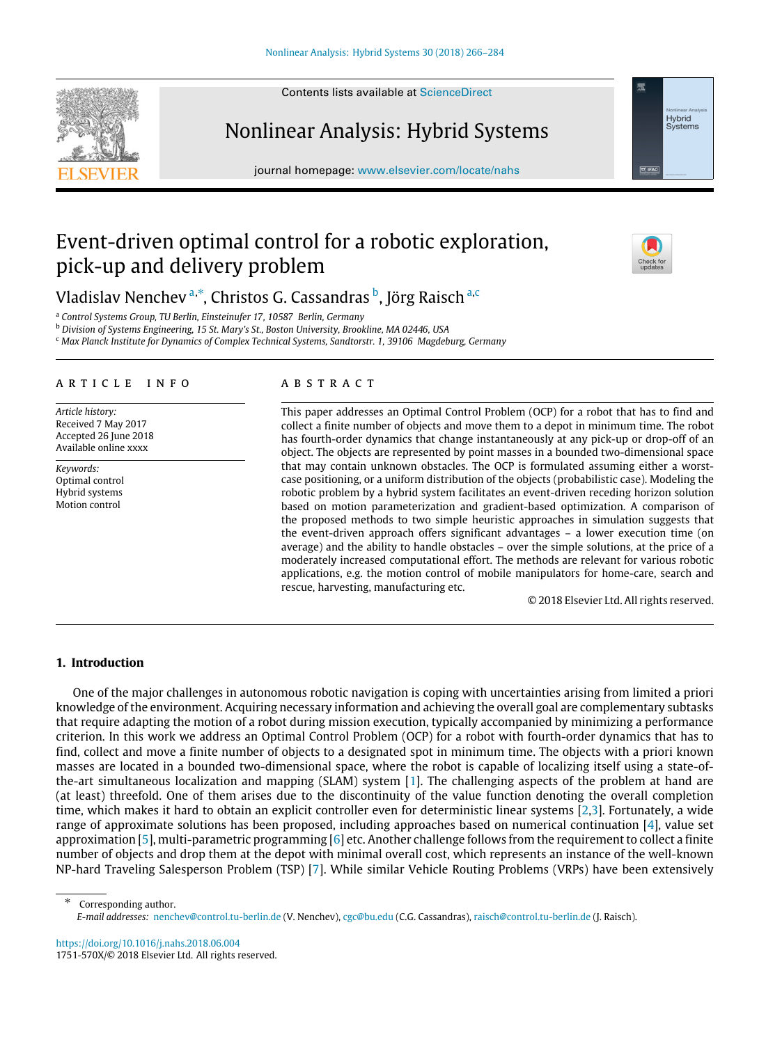Contents lists available at [ScienceDirect](http://www.elsevier.com/locate/nahs)

Nonlinear Analysis: Hybrid Systems

journal homepage: [www.elsevier.com/locate/nahs](http://www.elsevier.com/locate/nahs)

# Event-driven optimal control for a robotic exploration, pick-up and delivery problem

Vl[a](#page-0-0)dislav Nenchev <sup>a,\*</sup>, Christos G. Cassandras <sup>[b](#page-0-2)</sup>, Jörg Rais[c](#page-0-3)h <sup>a,c</sup>

<span id="page-0-0"></span><sup>a</sup> *Control Systems Group, TU Berlin, Einsteinufer 17, 10587 Berlin, Germany*

<span id="page-0-2"></span><sup>b</sup> *Division of Systems Engineering, 15 St. Mary's St., Boston University, Brookline, MA 02446, USA*

<span id="page-0-3"></span><sup>c</sup> *Max Planck Institute for Dynamics of Complex Technical Systems, Sandtorstr. 1, 39106 Magdeburg, Germany*

## a r t i c l e i n f o

*Article history:* Received 7 May 2017 Accepted 26 June 2018 Available online xxxx

*Keywords:* Optimal control Hybrid systems Motion control

## a b s t r a c t

This paper addresses an Optimal Control Problem (OCP) for a robot that has to find and collect a finite number of objects and move them to a depot in minimum time. The robot has fourth-order dynamics that change instantaneously at any pick-up or drop-off of an object. The objects are represented by point masses in a bounded two-dimensional space that may contain unknown obstacles. The OCP is formulated assuming either a worstcase positioning, or a uniform distribution of the objects (probabilistic case). Modeling the robotic problem by a hybrid system facilitates an event-driven receding horizon solution based on motion parameterization and gradient-based optimization. A comparison of the proposed methods to two simple heuristic approaches in simulation suggests that the event-driven approach offers significant advantages – a lower execution time (on average) and the ability to handle obstacles – over the simple solutions, at the price of a moderately increased computational effort. The methods are relevant for various robotic applications, e.g. the motion control of mobile manipulators for home-care, search and rescue, harvesting, manufacturing etc.

© 2018 Elsevier Ltd. All rights reserved.

# **1. Introduction**

One of the major challenges in autonomous robotic navigation is coping with uncertainties arising from limited a priori knowledge of the environment. Acquiring necessary information and achieving the overall goal are complementary subtasks that require adapting the motion of a robot during mission execution, typically accompanied by minimizing a performance criterion. In this work we address an Optimal Control Problem (OCP) for a robot with fourth-order dynamics that has to find, collect and move a finite number of objects to a designated spot in minimum time. The objects with a priori known masses are located in a bounded two-dimensional space, where the robot is capable of localizing itself using a state-ofthe-art simultaneous localization and mapping (SLAM) system [\[1\]](#page-17-0). The challenging aspects of the problem at hand are (at least) threefold. One of them arises due to the discontinuity of the value function denoting the overall completion time, which makes it hard to obtain an explicit controller even for deterministic linear systems [[2,](#page-17-1)[3](#page-17-2)]. Fortunately, a wide range of approximate solutions has been proposed, including approaches based on numerical continuation [\[4](#page-17-3)], value set approximation [\[5\]](#page-17-4), multi-parametric programming [\[6\]](#page-17-5) etc. Another challenge follows from the requirement to collect a finite number of objects and drop them at the depot with minimal overall cost, which represents an instance of the well-known NP-hard Traveling Salesperson Problem (TSP) [\[7](#page-17-6)]. While similar Vehicle Routing Problems (VRPs) have been extensively

<span id="page-0-1"></span>Corresponding author. *E-mail addresses:* [nenchev@control.tu-berlin.de](mailto:nenchev@control.tu-berlin.de) (V. Nenchev), [cgc@bu.edu](mailto:cgc@bu.edu) (C.G. Cassandras), [raisch@control.tu-berlin.de](mailto:raisch@control.tu-berlin.de) (J. Raisch).

<https://doi.org/10.1016/j.nahs.2018.06.004> 1751-570X/© 2018 Elsevier Ltd. All rights reserved.





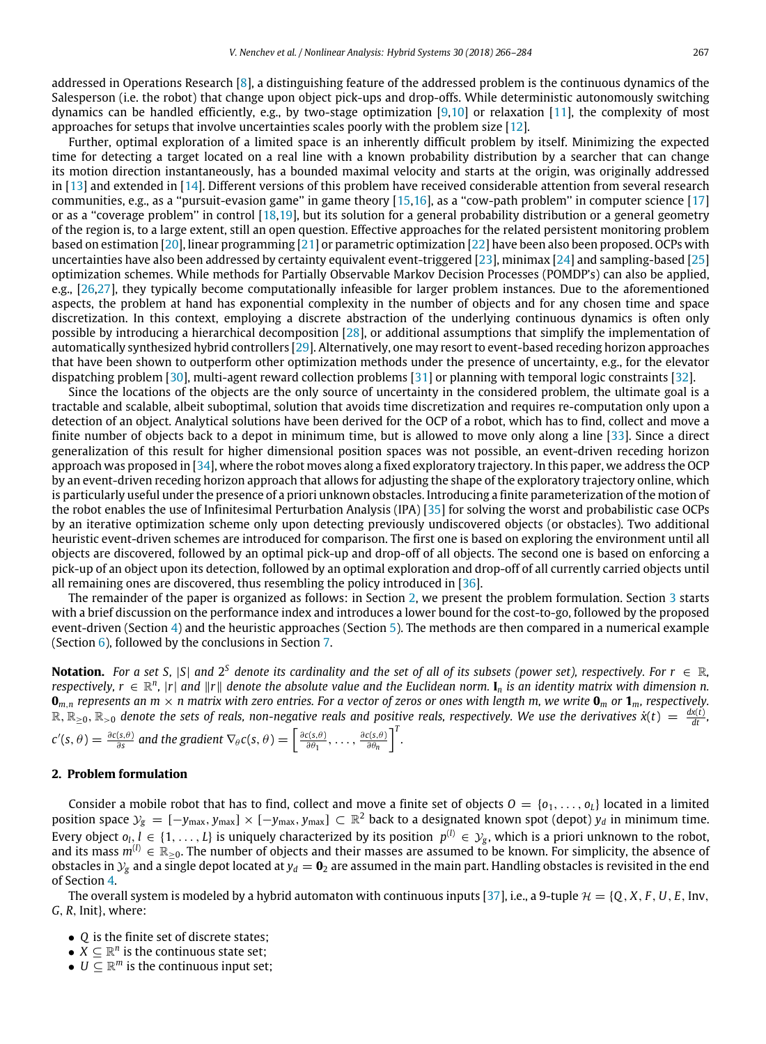addressed in Operations Research [\[8\]](#page-17-7), a distinguishing feature of the addressed problem is the continuous dynamics of the Salesperson (i.e. the robot) that change upon object pick-ups and drop-offs. While deterministic autonomously switching dynamics can be handled efficiently, e.g., by two-stage optimization [[9,](#page-17-8)[10](#page-17-9)] or relaxation [[11](#page-17-10)], the complexity of most approaches for setups that involve uncertainties scales poorly with the problem size [\[12\]](#page-17-11).

Further, optimal exploration of a limited space is an inherently difficult problem by itself. Minimizing the expected time for detecting a target located on a real line with a known probability distribution by a searcher that can change its motion direction instantaneously, has a bounded maximal velocity and starts at the origin, was originally addressed in [[13](#page-17-12)] and extended in [\[14\]](#page-17-13). Different versions of this problem have received considerable attention from several research communities, e.g., as a ''pursuit-evasion game'' in game theory [\[15,](#page-17-14)[16](#page-17-15)], as a ''cow-path problem'' in computer science [[17](#page-17-16)] or as a ''coverage problem'' in control [[18](#page-17-17)[,19\]](#page-17-18), but its solution for a general probability distribution or a general geometry of the region is, to a large extent, still an open question. Effective approaches for the related persistent monitoring problem based on estimation [\[20\]](#page-17-19), linear programming [\[21\]](#page-17-20) or parametric optimization [[22](#page-17-21)] have been also been proposed. OCPs with uncertainties have also been addressed by certainty equivalent event-triggered [[23](#page-17-22)], minimax [[24\]](#page-17-23) and sampling-based [[25](#page-17-24)] optimization schemes. While methods for Partially Observable Markov Decision Processes (POMDP's) can also be applied, e.g., [[26](#page-17-25)[,27\]](#page-17-26), they typically become computationally infeasible for larger problem instances. Due to the aforementioned aspects, the problem at hand has exponential complexity in the number of objects and for any chosen time and space discretization. In this context, employing a discrete abstraction of the underlying continuous dynamics is often only possible by introducing a hierarchical decomposition [\[28\]](#page-17-27), or additional assumptions that simplify the implementation of automatically synthesized hybrid controllers [\[29\]](#page-17-28). Alternatively, one may resort to event-based receding horizon approaches that have been shown to outperform other optimization methods under the presence of uncertainty, e.g., for the elevator dispatching problem [[30](#page-17-29)], multi-agent reward collection problems [[31\]](#page-17-30) or planning with temporal logic constraints [\[32\]](#page-17-31).

Since the locations of the objects are the only source of uncertainty in the considered problem, the ultimate goal is a tractable and scalable, albeit suboptimal, solution that avoids time discretization and requires re-computation only upon a detection of an object. Analytical solutions have been derived for the OCP of a robot, which has to find, collect and move a finite number of objects back to a depot in minimum time, but is allowed to move only along a line [\[33](#page-18-0)]. Since a direct generalization of this result for higher dimensional position spaces was not possible, an event-driven receding horizon approach was proposed in [[34\]](#page-18-1), where the robot moves along a fixed exploratory trajectory. In this paper, we address the OCP by an event-driven receding horizon approach that allows for adjusting the shape of the exploratory trajectory online, which is particularly useful under the presence of a priori unknown obstacles. Introducing a finite parameterization of the motion of the robot enables the use of Infinitesimal Perturbation Analysis (IPA) [\[35\]](#page-18-2) for solving the worst and probabilistic case OCPs by an iterative optimization scheme only upon detecting previously undiscovered objects (or obstacles). Two additional heuristic event-driven schemes are introduced for comparison. The first one is based on exploring the environment until all objects are discovered, followed by an optimal pick-up and drop-off of all objects. The second one is based on enforcing a pick-up of an object upon its detection, followed by an optimal exploration and drop-off of all currently carried objects until all remaining ones are discovered, thus resembling the policy introduced in [[36](#page-18-3)].

The remainder of the paper is organized as follows: in Section [2](#page-1-0), we present the problem formulation. Section [3](#page-4-0) starts with a brief discussion on the performance index and introduces a lower bound for the cost-to-go, followed by the proposed event-driven (Section [4](#page-4-1)) and the heuristic approaches (Section [5\)](#page-10-0). The methods are then compared in a numerical example (Section [6\)](#page-11-0), followed by the conclusions in Section [7.](#page-12-0)

**Notation.** For a set S,  $|S|$  and  $2^S$  denote its cardinality and the set of all of its subsets (power set), respectively. For  $r \in \mathbb{R}$ ,  $r$ espectively,  $r \in \mathbb{R}^n$ ,  $|r|$  and  $||r||$  denote the absolute value and the Euclidean norm.  $\bf{I}_n$  is an identity matrix with dimension n.  $\mathbf{0}_{m,n}$  *represents an m*  $\times$  *n* matrix with zero entries. For a vector of zeros or ones with length m, we write  $\mathbf{0}_m$  or  $\mathbf{1}_m$ , respectively.  $\mathbb{R}, \mathbb{R}_{\geq 0}, \mathbb{R}_{>0}$  denote the sets of reals, non-negative reals and positive reals, respectively. We use the derivatives  $\dot{x}(t) = \frac{dx(t)}{dt}$ 

*.*

$$
c'(s,\theta) = \frac{\partial c(s,\theta)}{\partial s} \text{ and the gradient } \nabla_{\theta} c(s,\theta) = \left[\frac{\partial c(s,\theta)}{\partial \theta_1},\ldots,\frac{\partial c(s,\theta)}{\partial \theta_n}\right]^T
$$

# **2. Problem formulation**

<span id="page-1-0"></span>Consider a mobile robot that has to find, collect and move a finite set of objects  $O = \{o_1, \ldots, o_l\}$  located in a limited position space  $\mathcal{Y}_g = [-y_{\max}, y_{\max}] \times [-y_{\max}, y_{\max}] \subset \mathbb{R}^2$  back to a designated known spot (depot)  $y_d$  in minimum time. Every object  $o_l, l \in \{1,\ldots,L\}$  is uniquely characterized by its position  $\;p^{(l)}\in\mathcal{Y}_g,$  which is a priori unknown to the robot, and its mass  $m^{(l)} \in \mathbb{R}_{\geq 0}$ . The number of objects and their masses are assumed to be known. For simplicity, the absence of obstacles in  $y_g$  and a single depot located at  $y_d = \mathbf{0}_2$  are assumed in the main part. Handling obstacles is revisited in the end of Section [4](#page-4-1).

The overall system is modeled by a hybrid automaton with continuous inputs [\[37\]](#page-18-4), i.e., a 9-tuple  $\mathcal{H} = \{Q, X, F, U, E, Inv,$ *G*, *R*, Init}, where:

- *Q* is the finite set of discrete states;
- $X \subseteq \mathbb{R}^n$  is the continuous state set;
- $U \subseteq \mathbb{R}^m$  is the continuous input set;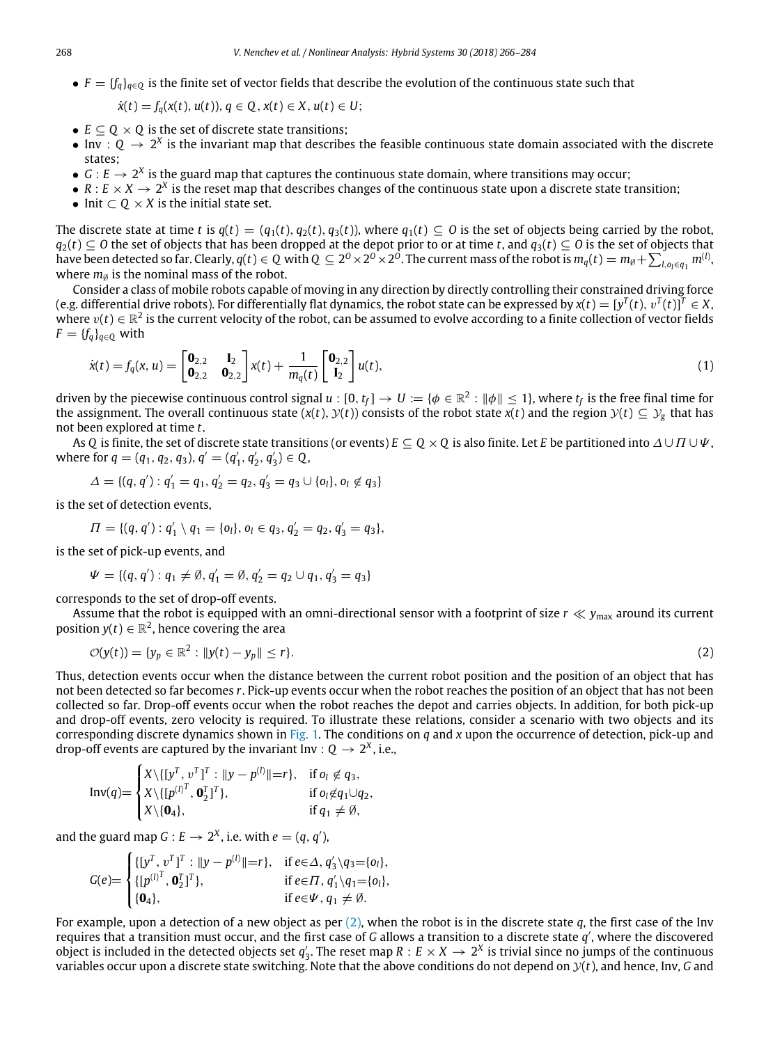$\bullet$  *F* =  $\{f_q\}_{q \in Q}$  is the finite set of vector fields that describe the evolution of the continuous state such that

$$
\dot{x}(t) = f_q(x(t), u(t)), q \in Q, x(t) \in X, u(t) \in U;
$$

- $E \subseteq Q \times Q$  is the set of discrete state transitions;
- Inv :  $Q \to 2^X$  is the invariant map that describes the feasible continuous state domain associated with the discrete states;
- $\bullet$  *G* : *E*  $\rightarrow$  2<sup>*X*</sup> is the guard map that captures the continuous state domain, where transitions may occur;
- $R: E \times X \to 2^X$  is the reset map that describes changes of the continuous state upon a discrete state transition;
- Init  $\subset$  *Q*  $\times$  *X* is the initial state set.

The discrete state at time *t* is  $q(t) = (q_1(t), q_2(t), q_3(t))$ , where  $q_1(t) \subseteq 0$  is the set of objects being carried by the robot, *q*<sub>2</sub>(*t*) ⊆ *O* the set of objects that has been dropped at the depot prior to or at time *t*, and *q*<sub>3</sub>(*t*) ⊆ *O* is the set of objects that have been detected so far. Clearly,  $q(t)\in Q$  with  $Q\subseteq 2^0\times 2^0\times 2^0$ . The current mass of the robot is  $m_q(t)=m_\emptyset+\sum_{l,o_l\in q_1}m^{(l)},$ where  $m<sub>Ø</sub>$  is the nominal mass of the robot.

Consider a class of mobile robots capable of moving in any direction by directly controlling their constrained driving force (e.g. differential drive robots). For differentially flat dynamics, the robot state can be expressed by  $x(t)=[y^T(t),v^T(t)]^T\in X_t$ where  $v(t)\in\mathbb{R}^2$  is the current velocity of the robot, can be assumed to evolve according to a finite collection of vector fields  $F = \{f_a\}_{a \in O}$  with

<span id="page-2-1"></span>
$$
\dot{\mathbf{x}}(t) = f_q(\mathbf{x}, u) = \begin{bmatrix} \mathbf{0}_{2,2} & \mathbf{I}_2 \\ \mathbf{0}_{2,2} & \mathbf{0}_{2,2} \end{bmatrix} \mathbf{x}(t) + \frac{1}{m_q(t)} \begin{bmatrix} \mathbf{0}_{2,2} \\ \mathbf{I}_2 \end{bmatrix} u(t),\tag{1}
$$

driven by the piecewise continuous control signal  $u:[0,t_f]\to U:=\{\phi\in\R^2:\|\phi\|\le 1\},$  where  $t_f$  is the free final time for the assignment. The overall continuous state  $(x(t), y(t))$  consists of the robot state  $x(t)$  and the region  $y(t) \subseteq y_g$  that has not been explored at time *t*.

As *Q* is finite, the set of discrete state transitions (or events) *E* ⊆ *Q* ×*Q* is also finite. Let *E* be partitioned into ∆∪ Π ∪Ψ, where for  $q = (q_1, q_2, q_3), q' = (q'_1, q'_2, q'_3) \in Q$ ,

$$
\Delta = \{(q, q'): q'_1 = q_1, q'_2 = q_2, q'_3 = q_3 \cup \{o_l\}, o_l \notin q_3\}
$$

is the set of detection events,

$$
\Pi = \{ (q, q') : q'_1 \setminus q_1 = \{o_l\}, o_l \in q_3, q'_2 = q_2, q'_3 = q_3 \},
$$

is the set of pick-up events, and

$$
\Psi = \{(q,q'): q_1 \neq \emptyset, q_1' = \emptyset, q_2' = q_2 \cup q_1, q_3' = q_3\}
$$

corresponds to the set of drop-off events.

Assume that the robot is equipped with an omni-directional sensor with a footprint of size  $r \ll y_{\text{max}}$  around its current position  $y(t) \in \mathbb{R}^2$ , hence covering the area

<span id="page-2-0"></span>
$$
\mathcal{O}(y(t)) = \{y_p \in \mathbb{R}^2 : ||y(t) - y_p|| \le r\}.
$$
 (2)

Thus, detection events occur when the distance between the current robot position and the position of an object that has not been detected so far becomes *r*. Pick-up events occur when the robot reaches the position of an object that has not been collected so far. Drop-off events occur when the robot reaches the depot and carries objects. In addition, for both pick-up and drop-off events, zero velocity is required. To illustrate these relations, consider a scenario with two objects and its corresponding discrete dynamics shown in [Fig.](#page-3-0) [1](#page-3-0). The conditions on *q* and *x* upon the occurrence of detection, pick-up and drop-off events are captured by the invariant Inv : Q  $\rightarrow$  2<sup>x</sup>, i.e.,

$$
\text{Inv}(q) = \begin{cases} X \setminus \{ [y^T, v^T]^T : ||y - p^{(l)}|| = r \}, & \text{if } o_l \notin q_3, \\ X \setminus \{ [p^{(l)^T}, \mathbf{0}_2^T]^T \}, & \text{if } o_l \notin q_1 \cup q_2, \\ X \setminus \{ \mathbf{0}_4 \}, & \text{if } q_1 \neq \emptyset, \end{cases}
$$

and the guard map  $G: E \to 2^X$ , i.e. with  $e = (q, q'),$ 

$$
G(e) = \begin{cases} \{[y^T, v^T]^T : ||y - p^{(l)}|| = r\}, & \text{if } e \in \Delta, q'_3 \setminus q_3 = \{o_l\}, \\ \{[p^{(l)^T}, \mathbf{0}_2^T]^T\}, & \text{if } e \in \Pi, q'_1 \setminus q_1 = \{o_l\}, \\ \{\mathbf{0}_4\}, & \text{if } e \in \Psi, q_1 \neq \emptyset. \end{cases}
$$

For example, upon a detection of a new object as per ([2\)](#page-2-0), when the robot is in the discrete state *q*, the first case of the Inv requires that a transition must occur, and the first case of *G* allows a transition to a discrete state *q* ′ , where the discovered object is included in the detected objects set  $q_3'$ . The reset map  $R:E\times X\to 2^X$  is trivial since no jumps of the continuous variables occur upon a discrete state switching. Note that the above conditions do not depend on  $y(t)$ , and hence, Inv, *G* and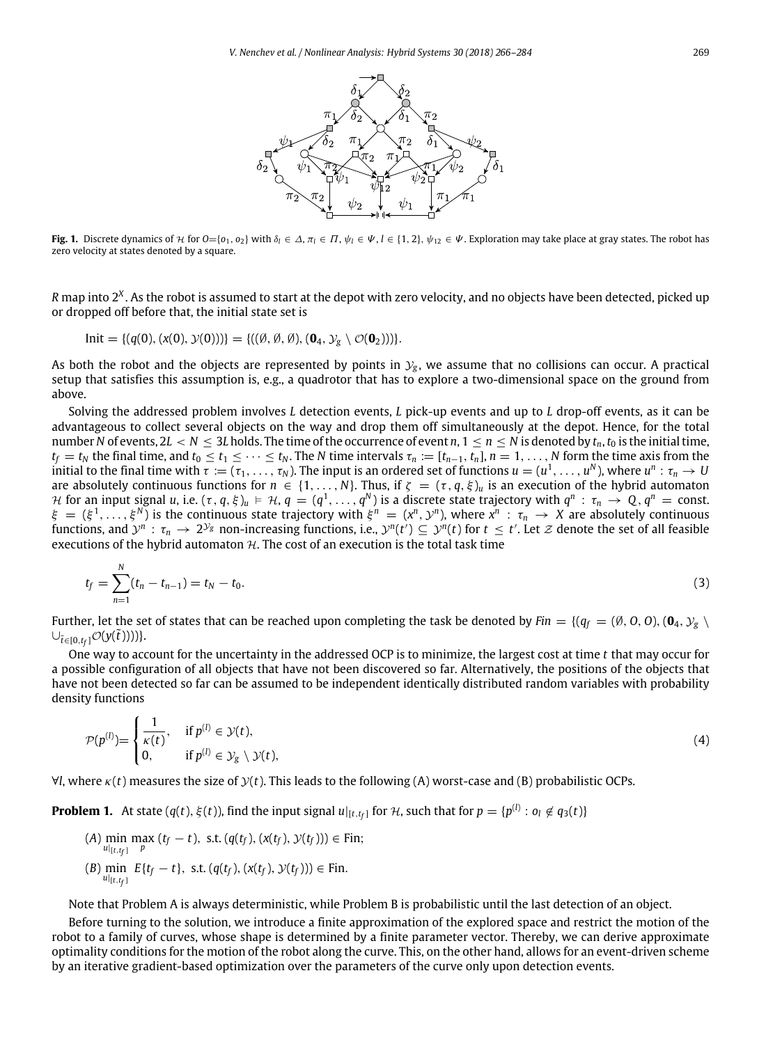

<span id="page-3-0"></span>**Fig. 1.** Discrete dynamics of  $\mathcal{H}$  for  $O=[o_1, o_2]$  with  $\delta_l \in \Delta$ ,  $\pi_l \in \Pi$ ,  $\psi_l \in \Psi$ ,  $l \in \{1, 2\}$ ,  $\psi_{12} \in \Psi$ . Exploration may take place at gray states. The robot has zero velocity at states denoted by a square.

*R* map into 2*<sup>X</sup>* . As the robot is assumed to start at the depot with zero velocity, and no objects have been detected, picked up or dropped off before that, the initial state set is

Init = {
$$
(q(0), (x(0), y(0)))
$$
} = { $((\emptyset, \emptyset, \emptyset), (\mathbf{0}_4, \mathcal{Y}_g \setminus \mathcal{O}(\mathbf{0}_2)))$  }.

As both the robot and the objects are represented by points in  $y_g$ , we assume that no collisions can occur. A practical setup that satisfies this assumption is, e.g., a quadrotor that has to explore a two-dimensional space on the ground from above.

Solving the addressed problem involves *L* detection events, *L* pick-up events and up to *L* drop-off events, as it can be advantageous to collect several objects on the way and drop them off simultaneously at the depot. Hence, for the total number *N* of events,  $2L < N \le 3L$  holds. The time of the occurrence of event *n*,  $1 \le n \le N$  is denoted by  $t_n$ ,  $t_0$  is the initial time,  $t_f = t_N$  the final time, and  $t_0 \le t_1 \le \cdots \le t_N$ . The N time intervals  $\tau_n := [t_{n-1}, t_n]$ ,  $n = 1, \ldots, N$  form the time axis from the initial to the final time with  $\tau:=(\tau_1,\ldots,\tau_N)$ . The input is an ordered set of functions  $u=(u^1,\ldots,u^N)$ , where  $u^n:\tau_n\to U$ are absolutely continuous functions for  $n \in \{1,\ldots,N\}$ . Thus, if  $\zeta = (\tau, q, \xi)_u$  is an execution of the hybrid automaton H for an input signal u, i.e.  $(\tau,q,\xi)_u \,\vDash\, \mathcal{H},$   $q=(q^1,\ldots,q^N)$  is a discrete state trajectory with  $q^n$   $: \, \tau_n \,\to\, Q,$   $q^n=$  const.  $\xi = (\xi^1,\ldots,\xi^N)$  is the continuous state trajectory with  $\xi^n = (x^n,y^n)$ , where  $x^n$  :  $\tau_n \to X$  are absolutely continuous functions, and  $y^n:\tau_n\to 2^{\mathcal{Y}_{\mathcal{S}}}$  non-increasing functions, i.e.,  $y^n(t')\subseteq y^n(t)$  for  $t\leq t'$ . Let  $\mathcal Z$  denote the set of all feasible executions of the hybrid automaton  $H$ . The cost of an execution is the total task time

$$
t_f = \sum_{n=1}^{N} (t_n - t_{n-1}) = t_N - t_0.
$$
\n(3)

Further, let the set of states that can be reached upon completing the task be denoted by  $Fin = \{(q_f = (0, 0, 0), (\mathbf{0}_4, \mathcal{Y}_g \setminus \mathbf{0}_4)\}$  $\cup_{\tilde{t}\in[0,t_f]}\mathcal{O}(y(\tilde{t})))\}.$ 

One way to account for the uncertainty in the addressed OCP is to minimize, the largest cost at time *t* that may occur for a possible configuration of all objects that have not been discovered so far. Alternatively, the positions of the objects that have not been detected so far can be assumed to be independent identically distributed random variables with probability density functions

$$
\mathcal{P}(p^{(l)}) = \begin{cases} \frac{1}{\kappa(t)}, & \text{if } p^{(l)} \in \mathcal{Y}(t), \\ 0, & \text{if } p^{(l)} \in \mathcal{Y}_g \setminus \mathcal{Y}(t), \end{cases} \tag{4}
$$

<span id="page-3-1"></span> $∀$ *l*, where  $κ(t)$  measures the size of  $y(t)$ . This leads to the following (A) worst-case and (B) probabilistic OCPs.

**Problem 1.** At state ( $q(t)$ ,  $\xi(t)$ ), find the input signal  $u|_{[t,t_f]}$  for H, such that for  $p = \{p^{(l)} : o_l \notin q_3(t)\}$ 

(*A*) min max ( $t_f$  −  $t$ ), s.t. ( $q(t_f)$ , ( $x(t_f)$ ,  $y(t_f)$ )) ∈ Fin;  $u|_{[t,t_f]}$  *p* (*B*) min  $E{t_f - t}$ , s.t. ( $q(t_f)$ , ( $x(t_f)$ ,  $y(t_f)$ )) ∈ Fin.  $u|_{[t,t_f]}$ 

Note that Problem A is always deterministic, while Problem B is probabilistic until the last detection of an object.

Before turning to the solution, we introduce a finite approximation of the explored space and restrict the motion of the robot to a family of curves, whose shape is determined by a finite parameter vector. Thereby, we can derive approximate optimality conditions for the motion of the robot along the curve. This, on the other hand, allows for an event-driven scheme by an iterative gradient-based optimization over the parameters of the curve only upon detection events.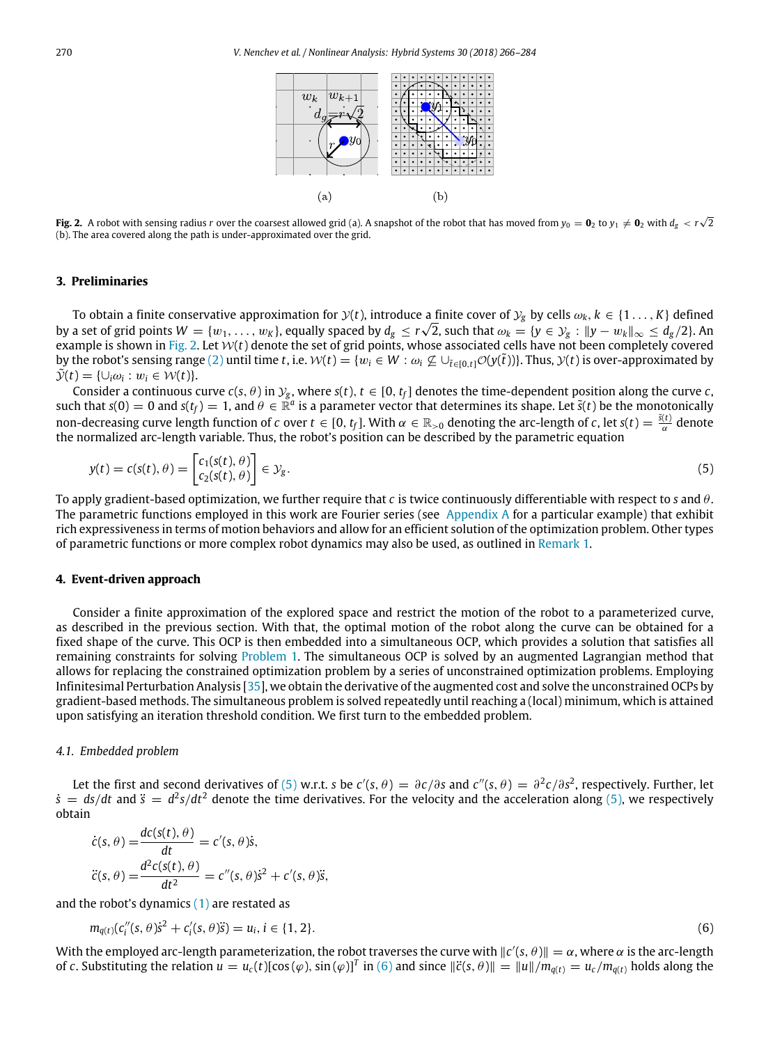<span id="page-4-3"></span>

<span id="page-4-2"></span>**Fig. 2.** A robot with sensing radius  $r$  over the coarsest allowed grid (a). A snapshot of the robot that has moved from  $y_0 = \mathbf{0}_2$  to  $y_1 \neq \mathbf{0}_2$  with  $d_g < r\sqrt{2}$ (b). The area covered along the path is under-approximated over the grid.

# **3. Preliminaries**

<span id="page-4-0"></span>To obtain a finite conservative approximation for  $\mathcal{Y}(t)$ , introduce a finite cover of  $\mathcal{Y}_g$  by cells  $\omega_k$ ,  $k \in \{1 \dots, K\}$  defined by a set of grid points  $W=\{w_1,\ldots,w_K\}$ , equally spaced by  $d_g\leq r\sqrt{2}$ , such that  $\omega_k=\{y\in\mathcal{Y}_g:\|y-w_k\|_\infty\leq d_g/2\}.$  An example is shown in [Fig.](#page-4-2) [2.](#page-4-2) Let  $W(t)$  denote the set of grid points, whose associated cells have not been completely covered by the robot's sensing range ([2\)](#page-2-0) until time *t*, i.e.  $\mathcal{W}(t) = \{w_i \in W : \omega_i \not\subseteq \cup_{\tilde{t} \in [0,t]} \mathcal{O}(y(\tilde{t}))\}$ . Thus,  $\mathcal{Y}(t)$  is over-approximated by  $\tilde{\mathcal{Y}}(t) = \{\cup_i \omega_i : w_i \in \mathcal{W}(t)\}.$ 

Consider a continuous curve  $c(s, \theta)$  in  $\mathcal{Y}_g$ , where  $s(t)$ ,  $t \in [0, t_f]$  denotes the time-dependent position along the curve *c*, such that  $s(0)=0$  and  $s(t_f)=1$ , and  $\theta\in\mathbb{R}^d$  is a parameter vector that determines its shape. Let  $\tilde{s}(t)$  be the monotonically non-decreasing curve length function of *c* over  $t \in [0, t_f]$ . With  $\alpha \in \mathbb{R}_{>0}$  denoting the arc-length of *c*, let  $s(t) = \frac{\tilde{s}(t)}{\alpha}$  denote the normalized arc-length variable. Thus, the robot's position can be described by the parametric equation

$$
y(t) = c(s(t), \theta) = \begin{bmatrix} c_1(s(t), \theta) \\ c_2(s(t), \theta) \end{bmatrix} \in \mathcal{Y}_g.
$$
 (5)

To apply gradient-based optimization, we further require that *c* is twice continuously differentiable with respect to *s* and θ. The parametric functions employed in this work are Fourier series (see [Appendix A](#page-13-0) for a particular example) that exhibit rich expressiveness in terms of motion behaviors and allow for an efficient solution of the optimization problem. Other types of parametric functions or more complex robot dynamics may also be used, as outlined in [Remark](#page-7-0) [1](#page-7-0).

#### **4. Event-driven approach**

<span id="page-4-1"></span>Consider a finite approximation of the explored space and restrict the motion of the robot to a parameterized curve, as described in the previous section. With that, the optimal motion of the robot along the curve can be obtained for a fixed shape of the curve. This OCP is then embedded into a simultaneous OCP, which provides a solution that satisfies all remaining constraints for solving [Problem](#page-3-1) [1.](#page-3-1) The simultaneous OCP is solved by an augmented Lagrangian method that allows for replacing the constrained optimization problem by a series of unconstrained optimization problems. Employing Infinitesimal Perturbation Analysis [[35](#page-18-2)], we obtain the derivative of the augmented cost and solve the unconstrained OCPs by gradient-based methods. The simultaneous problem is solved repeatedly until reaching a (local) minimum, which is attained upon satisfying an iteration threshold condition. We first turn to the embedded problem.

#### *4.1. Embedded problem*

Let the first and second derivatives of [\(5](#page-4-3)) w.r.t. *s* be  $c'(s, \theta) = \partial c/\partial s$  and  $c''(s, \theta) = \partial^2 c/\partial s^2$ , respectively. Further, let  $\dot{s} = ds/dt$  and  $\ddot{s} = d^2s/dt^2$  denote the time derivatives. For the velocity and the acceleration along [\(5](#page-4-3)), we respectively obtain *dc*(*s*(*t*), θ)

$$
\dot{c}(s,\theta) = \frac{dc(s(t),\theta)}{dt} = c'(s,\theta)\dot{s},
$$
  

$$
\ddot{c}(s,\theta) = \frac{d^2c(s(t),\theta)}{dt^2} = c''(s,\theta)\dot{s}^2 + c'(s,\theta)\ddot{s},
$$

and the robot's dynamics ([1\)](#page-2-1) are restated as

<span id="page-4-4"></span>
$$
m_{q(t)}(c_i''(s,\theta)\dot{s}^2 + c_i'(s,\theta)\ddot{s}) = u_i, i \in \{1,2\}.
$$
\n(6)

With the employed arc-length parameterization, the robot traverses the curve with  $\|c'(s,\theta)\|=\alpha$ , where  $\alpha$  is the arc-length of c. Substituting the relation  $u=u_c(t)[\cos(\varphi),\sin(\varphi)]^T$  in [\(6\)](#page-4-4) and since  $\|\ddot{c}(s,\theta)\|=\|u\|/m_{q(t)}=u_c/m_{q(t)}$  holds along the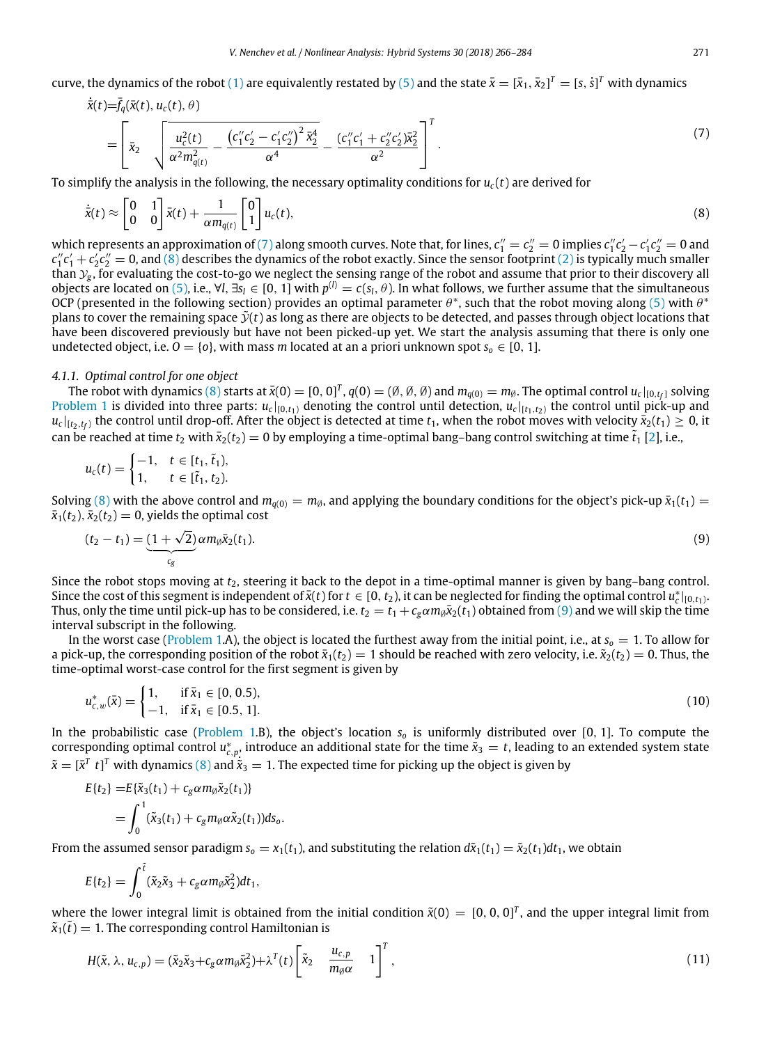curve, the dynamics of the robot [\(1](#page-2-1)) are equivalently restated by ([5](#page-4-3)) and the state  $\bar x=[\bar x_1,\bar x_2]^T=[s,\dot s]^T$  with dynamics

<span id="page-5-0"></span>
$$
\dot{\bar{x}}(t) = \bar{f}_q(\bar{x}(t), u_c(t), \theta)
$$
\n
$$
= \left[ \bar{x}_2 \sqrt{\frac{u_c^2(t)}{\alpha^2 m_{q(t)}^2} - \frac{\left(c_1''c_2' - c_1'c_2''\right)^2 \bar{x}_2^4}{\alpha^4} - \frac{\left(c_1''c_1' + c_2''c_2'\right)\bar{x}_2^2}{\alpha^2}} \right]^T.
$$
\n(7)

To simplify the analysis in the following, the necessary optimality conditions for  $u_c(t)$  are derived for

<span id="page-5-1"></span>
$$
\dot{\bar{x}}(t) \approx \begin{bmatrix} 0 & 1 \\ 0 & 0 \end{bmatrix} \bar{x}(t) + \frac{1}{\alpha m_{q(t)}} \begin{bmatrix} 0 \\ 1 \end{bmatrix} u_c(t), \tag{8}
$$

which represents an approximation of [\(7\)](#page-5-0) along smooth curves. Note that, for lines,  $c''_1=c''_2=0$  implies  $c''_1c'_2-c'_1c''_2=0$  and  $c''_1c'_1+c'_2c''_2=0$ , and ([8](#page-5-1)) describes the dynamics of the robot exactly. Since the sensor footprint ([2\)](#page-2-0) is typically much smaller  $2^{12}$ ,  $1^{12}2^2$   $-$  0, and (*b*) desenses the dynamics of the robot exactly), since the sensor rootprint (*2*) is typically indentially in the sensing range of the robot and assume that prior to their discovery all th objects are located on [\(5](#page-4-3)), i.e., ∀*l*, ∃ $s_l\in[0,1]$  with  $p^{(l)}=c(s_l,\theta).$  In what follows, we further assume that the simultaneous OCP (presented in the following section) provides an optimal parameter  $\theta^*$ , such that the robot moving along ([5\)](#page-4-3) with  $\theta^*$ plans to cover the remaining space  $\tilde{y}(t)$  as long as there are objects to be detected, and passes through object locations that have been discovered previously but have not been picked-up yet. We start the analysis assuming that there is only one undetected object, i.e.  $0 = \{o\}$ , with mass *m* located at an a priori unknown spot  $s_o \in [0, 1]$ .

# *4.1.1. Optimal control for one object*

The robot with dynamics [\(8\)](#page-5-1) starts at  $\bar{x}(0) = [0, 0]^T$ ,  $q(0) = (\emptyset, \emptyset, \emptyset)$  and  $m_{q(0)} = m_{\emptyset}$ . The optimal control  $u_c|_{[0, t_f]}$  solving [Problem](#page-3-1) [1](#page-3-1) is divided into three parts:  $u_c|_{[0,t_1)}$  denoting the control until detection,  $u_c|_{[t_1,t_2)}$  the control until pick-up and  $u_c|_{[t_2,t_f)}$  the control until drop-off. After the object is detected at time  $t_1$ , when the robot moves with velocity  $\bar{x}_2(t_1)\geq 0$ , it can be reached at time  $t_2$  with  $\bar{x}_2(t_2) = 0$  by employing a time-optimal bang–bang control switching at time  $\tilde{t}_1$  [\[2](#page-17-1)], i.e.,

$$
u_c(t) = \begin{cases} -1, & t \in [t_1, \tilde{t}_1), \\ 1, & t \in [\tilde{t}_1, t_2). \end{cases}
$$

Solving [\(8](#page-5-1)) with the above control and  $m_{q(0)} = m_{\emptyset}$ , and applying the boundary conditions for the object's pick-up  $\bar{x}_1(t_1) =$  $\bar{x}_1(t_2)$ ,  $\bar{x}_2(t_2) = 0$ , yields the optimal cost √

<span id="page-5-2"></span>
$$
(t_2 - t_1) = \underbrace{(1 + \sqrt{2})}_{c_g} \alpha m_g \bar{x}_2(t_1). \tag{9}
$$

Since the robot stops moving at *t*2, steering it back to the depot in a time-optimal manner is given by bang–bang control. Since the cost of this segment is independent of  $\bar{x}(t)$  for  $t \in [0,t_2)$ , it can be neglected for finding the optimal control  $u_c^*|_{[0,t_1)}$ . Thus, only the time until pick-up has to be considered, i.e.  $t_2 = t_1 + c_g \alpha m_\beta \bar{x}_2(t_1)$  obtained from [\(9](#page-5-2)) and we will skip the time interval subscript in the following.

In the worst case [\(Problem](#page-3-1) [1](#page-3-1).A), the object is located the furthest away from the initial point, i.e., at  $s_0 = 1$ . To allow for a pick-up, the corresponding position of the robot  $\bar{x}_1(t_2) = 1$  should be reached with zero velocity, i.e.  $\tilde{x}_2(t_2) = 0$ . Thus, the time-optimal worst-case control for the first segment is given by

$$
u_{c,w}^*(\bar{x}) = \begin{cases} 1, & \text{if } \bar{x}_1 \in [0, 0.5), \\ -1, & \text{if } \bar{x}_1 \in [0.5, 1]. \end{cases} \tag{10}
$$

In the probabilistic case ([Problem](#page-3-1) [1.](#page-3-1)B), the object's location *s<sup>o</sup>* is uniformly distributed over [0, 1]. To compute the corresponding optimal control  $u_{c,p}^*$  introduce an additional state for the time  $\tilde{x}_3=t$ , leading to an extended system state  $\tilde{x} = [\bar{x}^T t]^T$  with dynamics [\(8\)](#page-5-1) and  $\tilde{x}_3 = 1$ . The expected time for picking up the object is given by

$$
E\{t_2\} = E\{\tilde{\chi}_3(t_1) + c_g \alpha m_\beta \tilde{\chi}_2(t_1)\}
$$
  
= 
$$
\int_0^1 (\tilde{\chi}_3(t_1) + c_g m_\beta \alpha \tilde{\chi}_2(t_1)) ds_\rho.
$$

From the assumed sensor paradigm  $s_0 = x_1(t_1)$ , and substituting the relation  $d\tilde{x}_1(t_1) = \tilde{x}_2(t_1)dt_1$ , we obtain

$$
E\{t_2\} = \int_0^{\tilde{t}} (\tilde{x}_2 \tilde{x}_3 + c_g \alpha m_\theta \tilde{x}_2^2) dt_1,
$$

where the lower integral limit is obtained from the initial condition  $\tilde{x}(0) = [0, 0, 0]^T$ , and the upper integral limit from  $\tilde{x}_1(\tilde{t}) = 1$ . The corresponding control Hamiltonian is

<span id="page-5-3"></span>
$$
H(\tilde{x}, \lambda, u_{c,p}) = (\tilde{x}_2 \tilde{x}_3 + c_g \alpha m_\theta \tilde{x}_2^2) + \lambda^T(t) \left[ \tilde{x}_2 \quad \frac{u_{c,p}}{m_\theta \alpha} \quad 1 \right]^T,
$$
\n(11)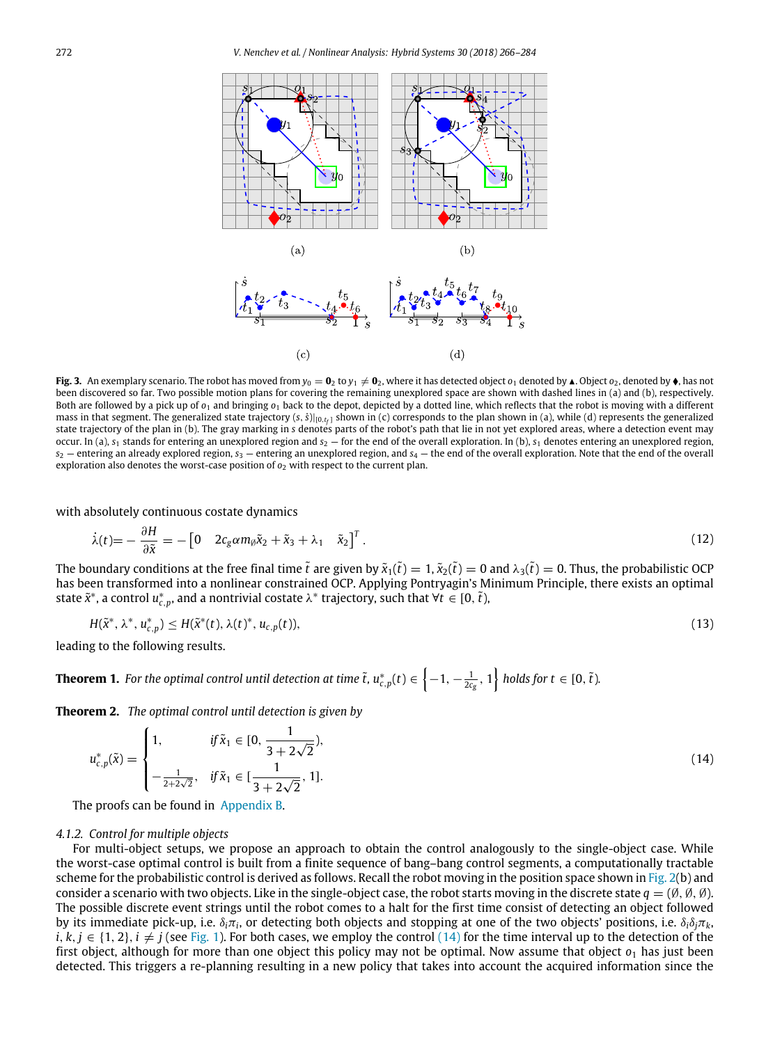

<span id="page-6-1"></span>**Fig. 3.** An exemplary scenario. The robot has moved from  $y_0 = \mathbf{0}_2$  to  $y_1 \neq \mathbf{0}_2$ , where it has detected object  $o_1$  denoted by  $\triangle$ . Object  $o_2$ , denoted by  $\blacklozenge$ , has not been discovered so far. Two possible motion plans for covering the remaining unexplored space are shown with dashed lines in (a) and (b), respectively. Both are followed by a pick up of *o*<sup>1</sup> and bringing *o*<sup>1</sup> back to the depot, depicted by a dotted line, which reflects that the robot is moving with a different mass in that segment. The generalized state trajectory (*s*, *<sup>s</sup>*˙)|[0,*t<sup>f</sup>* ] shown in (c) corresponds to the plan shown in (a), while (d) represents the generalized state trajectory of the plan in (b). The gray marking in *s* denotes parts of the robot's path that lie in not yet explored areas, where a detection event may occur. In (a),  $s_1$  stands for entering an unexplored region and  $s_2$  — for the end of the overall exploration. In (b),  $s_1$  denotes entering an unexplored region,  $s_2$  — entering an already explored region,  $s_3$  — entering an unexplored region, and  $s_4$  — the end of the overall exploration. Note that the end of the overall exploration also denotes the worst-case position of  $o_2$  with respect to the current plan.

with absolutely continuous costate dynamics

<span id="page-6-5"></span>
$$
\dot{\lambda}(t) = -\frac{\partial H}{\partial \tilde{x}} = -\begin{bmatrix} 0 & 2c_g \alpha m_\theta \tilde{x}_2 + \tilde{x}_3 + \lambda_1 & \tilde{x}_2 \end{bmatrix}^T.
$$
\n(12)

The boundary conditions at the free final time  $\tilde{t}$  are given by  $\tilde{x}_1(\tilde{t}) = 1$ ,  $\tilde{x}_2(\tilde{t}) = 0$  and  $\lambda_3(\tilde{t}) = 0$ . Thus, the probabilistic OCP has been transformed into a nonlinear constrained OCP. Applying Pontryagin's Minimum Principle, there exists an optimal state  $\tilde{x}^*$ , a control  $u_{c,p}^*$ , and a nontrivial costate  $\lambda^*$  trajectory, such that  $\forall t\in[0,\tilde{t})$ ,

<span id="page-6-3"></span><span id="page-6-2"></span>
$$
H(\tilde{x}^*, \lambda^*, u_{c,p}^*) \leq H(\tilde{x}^*(t), \lambda(t)^*, u_{c,p}(t)),
$$
\n(13)

leading to the following results.

**Theorem 1.** For the optimal control until detection at time  $\tilde{t}$ ,  $u^*_{c,p}(t) \in \left\{-1, -\frac{1}{2c_g}, 1\right\}$  holds for  $t \in [0, \tilde{t})$ .

<span id="page-6-4"></span>**Theorem 2.** *The optimal control until detection is given by*

<span id="page-6-0"></span>
$$
u_{c,p}^*(\tilde{x}) = \begin{cases} 1, & \text{if } \tilde{x}_1 \in [0, \frac{1}{3+2\sqrt{2}}), \\ -\frac{1}{2+2\sqrt{2}}, & \text{if } \tilde{x}_1 \in [\frac{1}{3+2\sqrt{2}}, 1]. \end{cases} \tag{14}
$$

The proofs can be found in [Appendix B.](#page-15-0)

#### *4.1.2. Control for multiple objects*

For multi-object setups, we propose an approach to obtain the control analogously to the single-object case. While the worst-case optimal control is built from a finite sequence of bang–bang control segments, a computationally tractable scheme for the probabilistic control is derived as follows. Recall the robot moving in the position space shown in [Fig.](#page-4-2) [2\(](#page-4-2)b) and consider a scenario with two objects. Like in the single-object case, the robot starts moving in the discrete state  $q = (\emptyset, \emptyset, \emptyset)$ . The possible discrete event strings until the robot comes to a halt for the first time consist of detecting an object followed by its immediate pick-up, i.e. δ*i*π*<sup>i</sup>* , or detecting both objects and stopping at one of the two objects' positions, i.e. δ*i*δ*j*π*k*, *i*, *k*, *j* ∈ {1, 2}, *i*  $\neq$  *j* (see [Fig.](#page-3-0) [1\)](#page-3-0). For both cases, we employ the control ([14](#page-6-0)) for the time interval up to the detection of the first object, although for more than one object this policy may not be optimal. Now assume that object *o*<sup>1</sup> has just been detected. This triggers a re-planning resulting in a new policy that takes into account the acquired information since the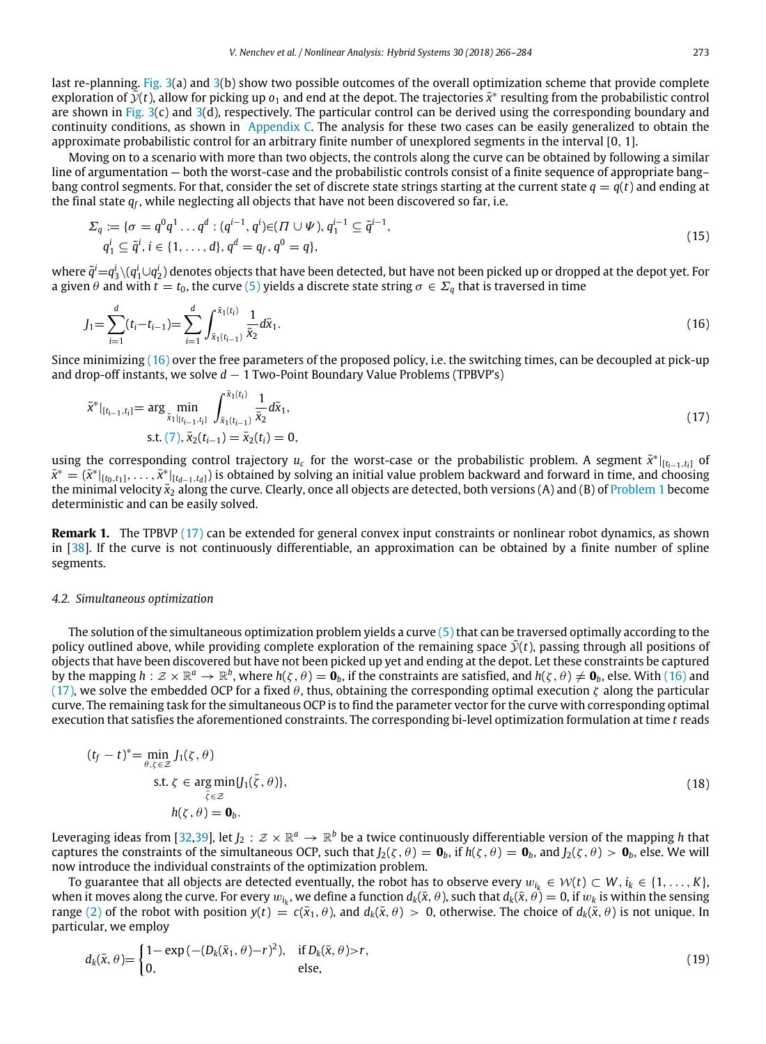last re-planning. [Fig.](#page-6-1) [3](#page-6-1)(a) and [3\(](#page-6-1)b) show two possible outcomes of the overall optimization scheme that provide complete exploration of  $\tilde{\vec{y}}(t)$ , allow for picking up  $o_1$  and end at the depot. The trajectories  $\bar{x}^*$  resulting from the probabilistic control are shown in [Fig.](#page-6-1) [3\(](#page-6-1)c) and [3](#page-6-1)(d), respectively. The particular control can be derived using the corresponding boundary and continuity conditions, as shown in [Appendix C](#page-15-1). The analysis for these two cases can be easily generalized to obtain the approximate probabilistic control for an arbitrary finite number of unexplored segments in the interval [0, 1].

Moving on to a scenario with more than two objects, the controls along the curve can be obtained by following a similar line of argumentation — both the worst-case and the probabilistic controls consist of a finite sequence of appropriate bang– bang control segments. For that, consider the set of discrete state strings starting at the current state  $q = q(t)$  and ending at the final state *q<sup>f</sup>* , while neglecting all objects that have not been discovered so far, i.e.

<span id="page-7-5"></span>
$$
\Sigma_q := \{ \sigma = q^0 q^1 \dots q^d : (q^{i-1}, q^i) \in (\Pi \cup \Psi), q_1^{i-1} \subseteq \tilde{q}^{i-1}, q_1^i \subseteq \tilde{q}^i, i \in \{1, \dots, d\}, q^d = q_f, q^0 = q \},
$$
\n(15)

where  $\tilde{q}^i$ = $q_3^i\setminus (q_1^i\cup q_2^i)$  denotes objects that have been detected, but have not been picked up or dropped at the depot yet. For a given  $\theta$  and with  $t = t_0$ , the curve [\(5](#page-4-3)) yields a discrete state string  $\sigma \in \Sigma_q$  that is traversed in time

<span id="page-7-1"></span>
$$
J_1 = \sum_{i=1}^d (t_i - t_{i-1}) = \sum_{i=1}^d \int_{\bar{x}_1(t_{i-1})}^{\bar{x}_1(t_i)} \frac{1}{\bar{x}_2} d\bar{x}_1.
$$
\n(16)

Since minimizing ([16\)](#page-7-1) over the free parameters of the proposed policy, i.e. the switching times, can be decoupled at pick-up and drop-off instants, we solve *d* − 1 Two-Point Boundary Value Problems (TPBVP's)

<span id="page-7-2"></span>
$$
\bar{x}^*|_{[t_{i-1},t_i]} = \arg\min_{\bar{x}_1|_{[t_{i-1},t_i]}} \int_{\bar{x}_1(t_{i-1})}^{\bar{x}_1(t_i)} \frac{1}{\bar{x}_2} d\bar{x}_1,
$$
\n
$$
\text{s.t.} \ (7), \bar{x}_2(t_{i-1}) = \bar{x}_2(t_i) = 0,
$$
\n
$$
(17)
$$

using the corresponding control trajectory  $u_c$  for the worst-case or the probabilistic problem. A segment  $\bar{x}^*|_{[t_{i-1},t_i]}$  of  $\bar{x}^* = (\bar{x}^*|_{[t_0,t_1]},\ldots,\bar{x}^*|_{[t_{d-1},t_d]})$  is obtained by solving an initial value problem backward and forward in time, and choosing the minimal velocity  $\bar{x}_2$  along the curve. Clearly, once all objects are detected, both versions (A) and (B) of [Problem](#page-3-1) [1](#page-3-1) become deterministic and can be easily solved.

<span id="page-7-0"></span>**Remark 1.** The TPBVP ([17](#page-7-2)) can be extended for general convex input constraints or nonlinear robot dynamics, as shown in [[38](#page-18-5)]. If the curve is not continuously differentiable, an approximation can be obtained by a finite number of spline segments.

#### *4.2. Simultaneous optimization*

The solution of the simultaneous optimization problem yields a curve ([5\)](#page-4-3) that can be traversed optimally according to the policy outlined above, while providing complete exploration of the remaining space  $\tilde{y}(t)$ , passing through all positions of objects that have been discovered but have not been picked up yet and ending at the depot. Let these constraints be captured by the mapping  $h:\mathcal{Z}\times\mathbb{R}^a\to\mathbb{R}^b$ , where  $h(\zeta,\theta)=\mathbf{0}_b$ , if the constraints are satisfied, and  $h(\zeta,\theta)\ne\mathbf{0}_b$ , else. With  $(16)$  and ([17\)](#page-7-2), we solve the embedded OCP for a fixed  $\theta$ , thus, obtaining the corresponding optimal execution  $\zeta$  along the particular curve. The remaining task for the simultaneous OCP is to find the parameter vector for the curve with corresponding optimal execution that satisfies the aforementioned constraints. The corresponding bi-level optimization formulation at time *t* reads

<span id="page-7-4"></span>
$$
(t_f - t)^* = \min_{\theta, \zeta \in \mathcal{Z}} J_1(\zeta, \theta)
$$
  
s.t.  $\zeta \in \arg\min_{\bar{\zeta} \in \mathcal{Z}} \{J_1(\bar{\zeta}, \theta)\},$   

$$
h(\zeta, \theta) = \mathbf{0}_b.
$$
 (18)

Leveraging ideas from [\[32,](#page-17-31)[39](#page-18-6)], let  $J_2:\mathcal Z\times\mathbb R^a\to\mathbb R^b$  be a twice continuously differentiable version of the mapping  $h$  that captures the constraints of the simultaneous OCP, such that  $J_2(\zeta, \theta) = \mathbf{0}_b$ , if  $h(\zeta, \theta) = \mathbf{0}_b$ , and  $J_2(\zeta, \theta) > \mathbf{0}_b$ , else. We will now introduce the individual constraints of the optimization problem.

To guarantee that all objects are detected eventually, the robot has to observe every  $w_{i_k} \in \mathcal{W}(t) \subset W, i_k \in \{1, \ldots, K\}$ when it moves along the curve. For every  $w_{i_k}$ , we define a function  $d_k(\bar x,\theta)$ , such that  $d_k(\bar x,\theta)=0$ , if  $w_k$  is within the sensing range [\(2](#page-2-0)) of the robot with position  $y(t) = c(\bar{x}_1, \theta)$ , and  $d_k(\bar{x}, \theta) > 0$ , otherwise. The choice of  $d_k(\bar{x}, \theta)$  is not unique. In particular, we employ

<span id="page-7-3"></span>
$$
d_k(\bar{x}, \theta) = \begin{cases} 1 - \exp(-(D_k(\bar{x}_1, \theta) - r)^2), & \text{if } D_k(\bar{x}, \theta) > r, \\ 0, & \text{else,} \end{cases}
$$
(19)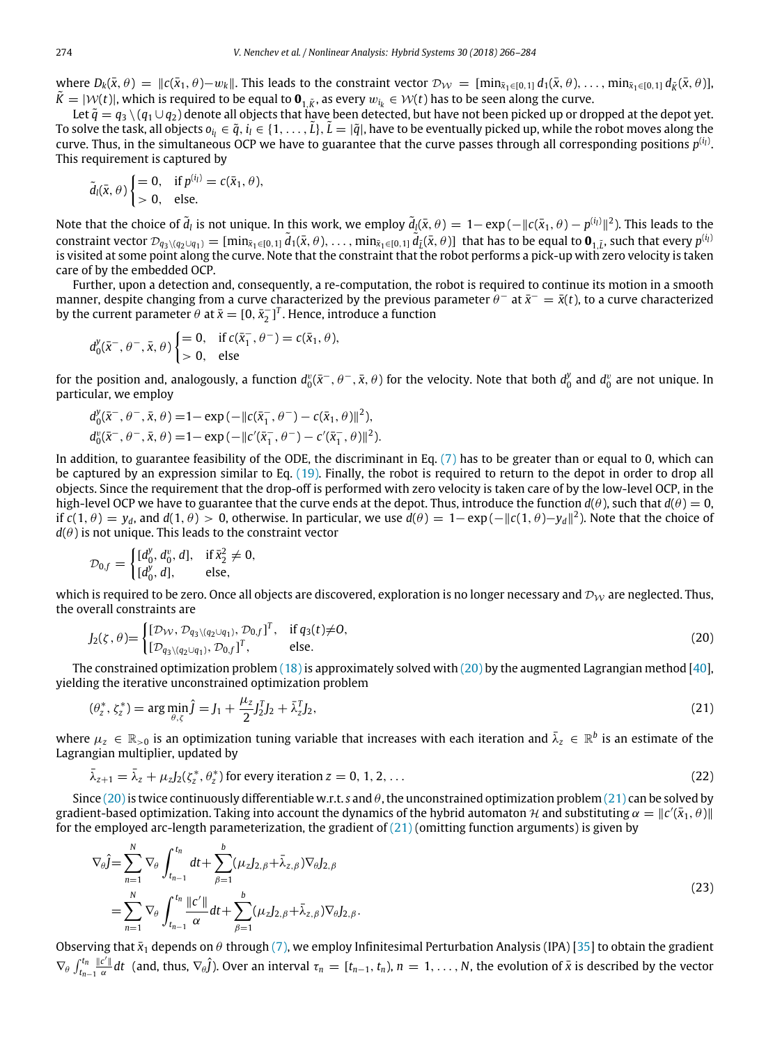where  $D_k(\bar{x}, \theta) = ||c(\bar{x}_1, \theta) - w_k||$ . This leads to the constraint vector  $\mathcal{D}_{\mathcal{W}} = [\min_{\bar{x}_1 \in [0, 1]} d_1(\bar{x}, \theta), \dots, \min_{\bar{x}_1 \in [0, 1]} d_{\bar{k}}(\bar{x}, \theta)],$  $\tilde{K} = |W(t)|$ , which is required to be equal to  $\mathbf{0}_{1,\tilde{K}}$ , as every  $w_{i_k} \in W(t)$  has to be seen along the curve.

Let  $\tilde{q} = q_3 \setminus (q_1 \cup q_2)$  denote all objects that have been detected, but have not been picked up or dropped at the depot yet. To solve the task, all objects  $o_{i_l} \in \tilde{q}, i_l \in \{1, \ldots, \tilde{L}\}, \tilde{L} = |\tilde{q}|$ , have to be eventually picked up, while the robot moves along the curve. Thus, in the simultaneous OCP we have to guarantee that the curve passes through all corresponding positions *p* (*i l* ) . This requirement is captured by

$$
\tilde{d}_l(\bar{x},\theta)\begin{cases}=0, & \text{if }p^{(i_l)}=c(\bar{x}_1,\theta),\\>0, & \text{else.}\end{cases}
$$

Note that the choice of  $\tilde{d}_l$  is not unique. In this work, we employ  $\tilde{d}_l(\bar{x},\theta)=1-\exp{(-\|c(\bar{x}_1,\theta)-p^{(i_l)}\|^2)}.$  This leads to the constraint vector  $\mathcal{D}_{q_3\setminus (q_2\cup q_1)} = [\min_{\bar{x}_1\in [0,1]}\tilde{d}_1(\bar{x},\theta),\ldots,\min_{\bar{x}_1\in [0,1]}\tilde{d}_{\tilde{l}}(\bar{x},\theta)]$  that has to be equal to  $\mathbf{0}_{1,\tilde{l}}$ , such that every  $p^{(i_i)}$ is visited at some point along the curve. Note that the constraint that the robot performs a pick-up with zero velocity is taken care of by the embedded OCP.

Further, upon a detection and, consequently, a re-computation, the robot is required to continue its motion in a smooth manner, despite changing from a curve characterized by the previous parameter  $\hat\theta^-$  at  $\bar x^-=\bar x(t)$ , to a curve characterized by the current parameter  $\theta$  at  $\bar{x} = [0, \bar{x}_2^-]^T$ . Hence, introduce a function

$$
d_0^y(\bar{x}^-,\theta^-,\bar{x},\theta)\begin{cases}=0, & \text{if }c(\bar{x}_1^-,\theta^-)=c(\bar{x}_1,\theta),\\>0, & \text{else}\end{cases}
$$

for the position and, analogously, a function  $d_0^v(\bar{x}^-,\theta^-,\bar{x},\theta)$  for the velocity. Note that both  $d_0^y$  and  $d_0^v$  are not unique. In particular, we employ

$$
d_0^y(\bar{x}^-,\theta^-,\bar{x},\theta) = 1 - \exp(-\|c(\bar{x}_1^-,\theta^-) - c(\bar{x}_1,\theta)\|^2),
$$
  

$$
d_0^v(\bar{x}^-,\theta^-,\bar{x},\theta) = 1 - \exp(-\|c'(\bar{x}_1^-,\theta^-) - c'(\bar{x}_1^-,\theta)\|^2).
$$

In addition, to guarantee feasibility of the ODE, the discriminant in Eq. ([7](#page-5-0)) has to be greater than or equal to 0, which can be captured by an expression similar to Eq. ([19\)](#page-7-3). Finally, the robot is required to return to the depot in order to drop all objects. Since the requirement that the drop-off is performed with zero velocity is taken care of by the low-level OCP, in the high-level OCP we have to guarantee that the curve ends at the depot. Thus, introduce the function  $d(\theta)$ , such that  $d(\theta) = 0$ , if  $c(1,\theta) = y_d$ , and  $d(1,\theta) > 0$ , otherwise. In particular, we use  $d(\theta) = 1 - \exp(-\|c(1,\theta) - y_d\|^2)$ . Note that the choice of  $d(\theta)$  is not unique. This leads to the constraint vector

$$
\mathcal{D}_{0,f} = \begin{cases} [d_0^y, d_0^v, d], & \text{if } \bar{x}_2^2 \neq 0, \\ [d_0^y, d], & \text{else,} \end{cases}
$$

which is required to be zero. Once all objects are discovered, exploration is no longer necessary and  $\mathcal{D}_W$  are neglected. Thus, the overall constraints are

<span id="page-8-0"></span>
$$
J_2(\zeta, \theta) = \begin{cases} [\mathcal{D}_{\mathcal{W}}, \mathcal{D}_{q_3 \setminus (q_2 \cup q_1)}, \mathcal{D}_{0,f}]^T, & \text{if } q_3(t) \neq 0, \\ [\mathcal{D}_{q_3 \setminus (q_2 \cup q_1)}, \mathcal{D}_{0,f}]^T, & \text{else.} \end{cases}
$$
(20)

The constrained optimization problem  $(18)$  is approximately solved with  $(20)$  $(20)$  by the augmented Lagrangian method [[40](#page-18-7)], yielding the iterative unconstrained optimization problem

<span id="page-8-1"></span>
$$
(\theta_z^*, \zeta_z^*) = \arg\min_{\theta, \zeta} \hat{J} = J_1 + \frac{\mu_z}{2} J_2^T J_2 + \bar{\lambda}_z^T J_2,\tag{21}
$$

where  $\mu_z\,\in\,\mathbb{R}_{>0}$  is an optimization tuning variable that increases with each iteration and  $\bar\lambda_z\,\in\,\mathbb{R}^b$  is an estimate of the Lagrangian multiplier, updated by

$$
\bar{\lambda}_{z+1} = \bar{\lambda}_z + \mu_z J_2(\zeta_z^*, \theta_z^*)
$$
 for every iteration  $z = 0, 1, 2, ...$  (22)

Since ([20](#page-8-0))is twice continuously differentiable w.r.t. *s* and θ, the unconstrained optimization problem ([21](#page-8-1)) can be solved by gradient-based optimization. Taking into account the dynamics of the hybrid automaton  $\cal H$  and substituting  $\alpha=\|c'(\bar x_1,\theta)\|$ for the employed arc-length parameterization, the gradient of  $(21)$  (omitting function arguments) is given by

<span id="page-8-3"></span><span id="page-8-2"></span>
$$
\nabla_{\theta}\hat{j} = \sum_{n=1}^{N} \nabla_{\theta} \int_{t_{n-1}}^{t_n} dt + \sum_{\beta=1}^{b} (\mu_z J_{2,\beta} + \bar{\lambda}_{z,\beta}) \nabla_{\theta} J_{2,\beta} \n= \sum_{n=1}^{N} \nabla_{\theta} \int_{t_{n-1}}^{t_n} \frac{\|c'\|}{\alpha} dt + \sum_{\beta=1}^{b} (\mu_z J_{2,\beta} + \bar{\lambda}_{z,\beta}) \nabla_{\theta} J_{2,\beta}.
$$
\n(23)

Observing that  $\bar{x}_1$  depends on  $\theta$  through [\(7](#page-5-0)), we employ Infinitesimal Perturbation Analysis (IPA) [\[35\]](#page-18-2) to obtain the gradient  $\nabla_{\theta} \int_{t_{n-1}}^{t_n}$ ∥*c* ′∥  $\frac{c'|}{\alpha}$ dt (and, thus,  $\nabla_\theta \hat{j}$ ). Over an interval  $\tau_n=[t_{n-1},t_n),$   $n=1,\ldots,N,$  the evolution of  $\bar{x}$  is described by the vector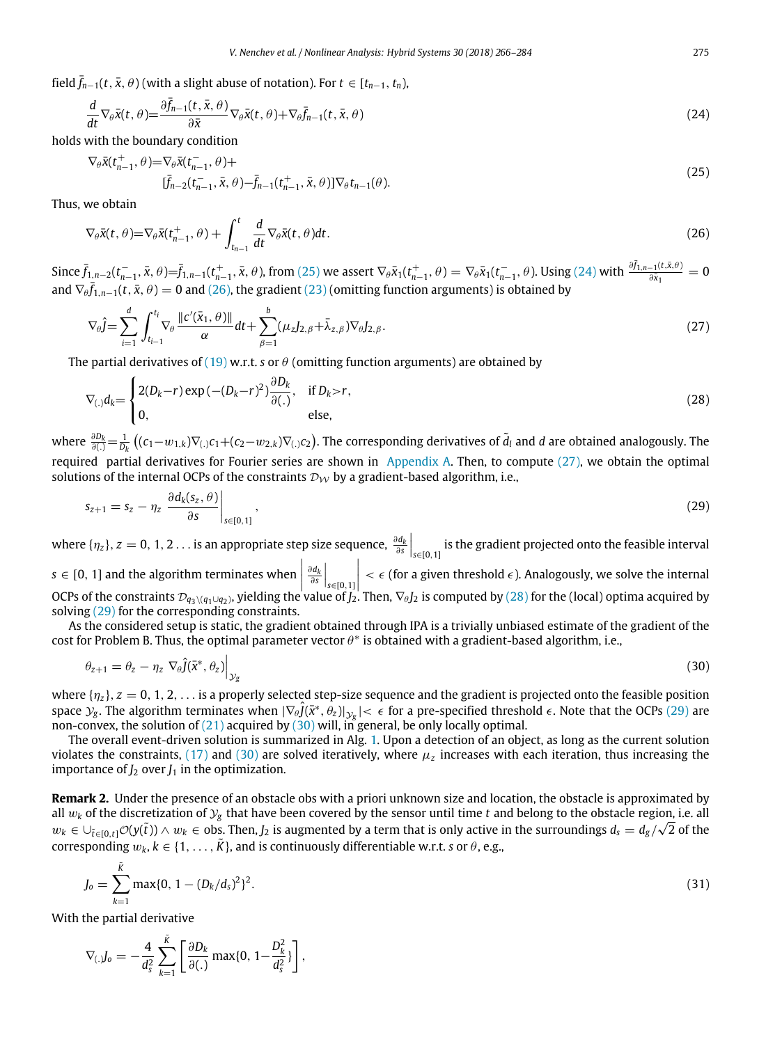field  $\bar{f}_{n-1}(t, \bar{x}, \theta)$  (with a slight abuse of notation). For  $t \in [t_{n-1}, t_n)$ ,

<span id="page-9-1"></span>
$$
\frac{d}{dt}\nabla_{\theta}\bar{x}(t,\theta) = \frac{\partial \bar{f}_{n-1}(t,\bar{x},\theta)}{\partial \bar{x}}\nabla_{\theta}\bar{x}(t,\theta) + \nabla_{\theta}\bar{f}_{n-1}(t,\bar{x},\theta)
$$
\n(24)

holds with the boundary condition

<span id="page-9-0"></span>
$$
\nabla_{\theta}\bar{x}(t_{n-1}^{+},\theta) = \nabla_{\theta}\bar{x}(t_{n-1}^{-},\theta) + \left[\bar{f}_{n-2}(t_{n-1}^{-},\bar{x},\theta) - \bar{f}_{n-1}(t_{n-1}^{+},\bar{x},\theta)\right]\nabla_{\theta}t_{n-1}(\theta).
$$
\n(25)

Thus, we obtain

<span id="page-9-2"></span>
$$
\nabla_{\theta}\bar{\mathbf{x}}(t,\theta) = \nabla_{\theta}\bar{\mathbf{x}}(t_{n-1}^+,\theta) + \int_{t_{n-1}}^t \frac{d}{dt}\nabla_{\theta}\bar{\mathbf{x}}(t,\theta)dt.
$$
\n(26)

Since  $\bar{f}_{1,n-2}(t_{n-1}^-, \bar{x}, \theta) = \bar{f}_{1,n-1}(t_{n-1}^+, \bar{x}, \theta)$ , from ([25](#page-9-0)) we assert  $\nabla_{\theta} \bar{x}_1(t_{n-1}^+, \theta) = \nabla_{\theta} \bar{x}_1(t_{n-1}^-, \theta)$ . Using [\(24\)](#page-9-1) with  $\frac{\partial \bar{f}_{1,n-1}(t, \bar{x}, \theta)}{\partial \bar{x}_1} = 0$ and  $\nabla_\theta \bar{f}_{1,n-1}(t,\bar{x},\theta) = 0$  and [\(26\)](#page-9-2), the gradient ([23](#page-8-2)) (omitting function arguments) is obtained by

<span id="page-9-3"></span>
$$
\nabla_{\theta}\hat{j} = \sum_{i=1}^{d} \int_{t_{i-1}}^{t_i} \nabla_{\theta} \frac{\|\mathbf{c}'(\bar{\mathbf{x}}_1, \theta)\|}{\alpha} dt + \sum_{\beta=1}^{b} (\mu_z J_{2,\beta} + \bar{\lambda}_{z,\beta}) \nabla_{\theta} J_{2,\beta}.
$$
\n(27)

The partial derivatives of  $(19)$  $(19)$  $(19)$  w.r.t. *s* or  $\theta$  (omitting function arguments) are obtained by

<span id="page-9-4"></span>
$$
\nabla_{(.)} d_k = \begin{cases} 2(D_k - r) \exp(-(D_k - r)^2) \frac{\partial D_k}{\partial(.)}, & \text{if } D_k > r, \\ 0, & \text{else,} \end{cases}
$$
 (28)

where  $\frac{\partial D_k}{\partial(.)} = \frac{1}{D_k} \left( (c_1 - w_{1,k}) \nabla_{(.)} c_1 + (c_2 - w_{2,k}) \nabla_{(.)} c_2 \right)$ . The corresponding derivatives of  $\tilde{d}_l$  and *d* are obtained analogously. The required partial derivatives for Fourier series are shown in [Appendix A](#page-13-0). Then, to compute ([27](#page-9-3)), we obtain the optimal solutions of the internal OCPs of the constraints  $\mathcal{D}_{\mathcal{W}}$  by a gradient-based algorithm, i.e.,

<span id="page-9-5"></span>
$$
s_{z+1} = s_z - \eta_z \left. \frac{\partial d_k(s_z, \theta)}{\partial s} \right|_{s \in [0,1]}, \tag{29}
$$

where { $\eta_z$ }, *z* = 0, 1, 2 . . . is an appropriate step size sequence,  $\frac{\partial d_k}{\partial s}\Big|_{s\in[0,1]}$  is the gradient projected onto the feasible interval *s* ∈ [0, 1] and the algorithm terminates when  $\left| \frac{\partial d_k}{\partial s} \right|_{s \in [0,1]}$ ocPs of the constraints  $\mathcal{D}_{q_3\setminus (q_1\cup q_2)}$ , yielding the value of *J*<sub>2</sub>. Then,  $\nabla_{\theta}$ *J*<sub>2</sub> is computed by ([28](#page-9-4)) for the (local) optima acquired by (28)  $\vert < \epsilon$  (for a given threshold  $\epsilon$ ). Analogously, we solve the internal<br>Then  $\nabla l$  is computed by (28) for the (local) optima acquired by solving [\(29\)](#page-9-5) for the corresponding constraints.

As the considered setup is static, the gradient obtained through IPA is a trivially unbiased estimate of the gradient of the cost for Problem B. Thus, the optimal parameter vector  $\theta^*$  is obtained with a gradient-based algorithm, i.e.,

<span id="page-9-6"></span>
$$
\theta_{z+1} = \theta_z - \eta_z \nabla_{\theta} \hat{J}(\bar{x}^*, \theta_z) \Big|_{\mathcal{Y}_{g}} \tag{30}
$$

where  $\{\eta_z\}$ ,  $z = 0, 1, 2, \ldots$  is a properly selected step-size sequence and the gradient is projected onto the feasible position space  $y_g$ . The algorithm terminates when  $|\nabla_\theta \hat{J}(\bar{x}^*,\theta_z)|_{y_g}|<\epsilon$  for a pre-specified threshold  $\epsilon$ . Note that the OCPs [\(29\)](#page-9-5) are non-convex, the solution of  $(21)$  $(21)$  $(21)$  acquired by  $(30)$  will, in general, be only locally optimal.

The overall event-driven solution is summarized in Alg. [1](#page-10-1). Upon a detection of an object, as long as the current solution violates the constraints, [\(17\)](#page-7-2) and ([30\)](#page-9-6) are solved iteratively, where  $\mu_{\rm z}$  increases with each iteration, thus increasing the importance of  $J_2$  over  $J_1$  in the optimization.

**Remark 2.** Under the presence of an obstacle obs with a priori unknown size and location, the obstacle is approximated by all  $w_k$  of the discretization of  $\mathcal{Y}_g$  that have been covered by the sensor until time *t* and belong to the obstacle region, i.e. all  $w_k \in \cup_{\tilde{t} \in [0,t]} \mathcal{O}(y(\tilde{t})) \wedge w_k \in \text{obs.}$  Then,  $J_2$  is augmented by a term that is only active in the surroundings  $d_s = d_g/\sqrt{2}$  of the corresponding  $w_k$ ,  $k \in \{1, \ldots, \tilde{K}\}$ , and is continuously differentiable w.r.t. *s* or  $\theta$ , e.g.,

$$
J_0 = \sum_{k=1}^{\tilde{K}} \max\{0, 1 - (D_k/d_s)^2\}^2.
$$
 (31)

With the partial derivative

$$
\nabla_{\left(\cdot\right)}J_o=-\frac{4}{d_s^2}\sum_{k=1}^{\tilde{K}}\left[\frac{\partial D_k}{\partial(\cdot)}\max\{0,\,1-\frac{D_k^2}{d_s^2}\}\right],
$$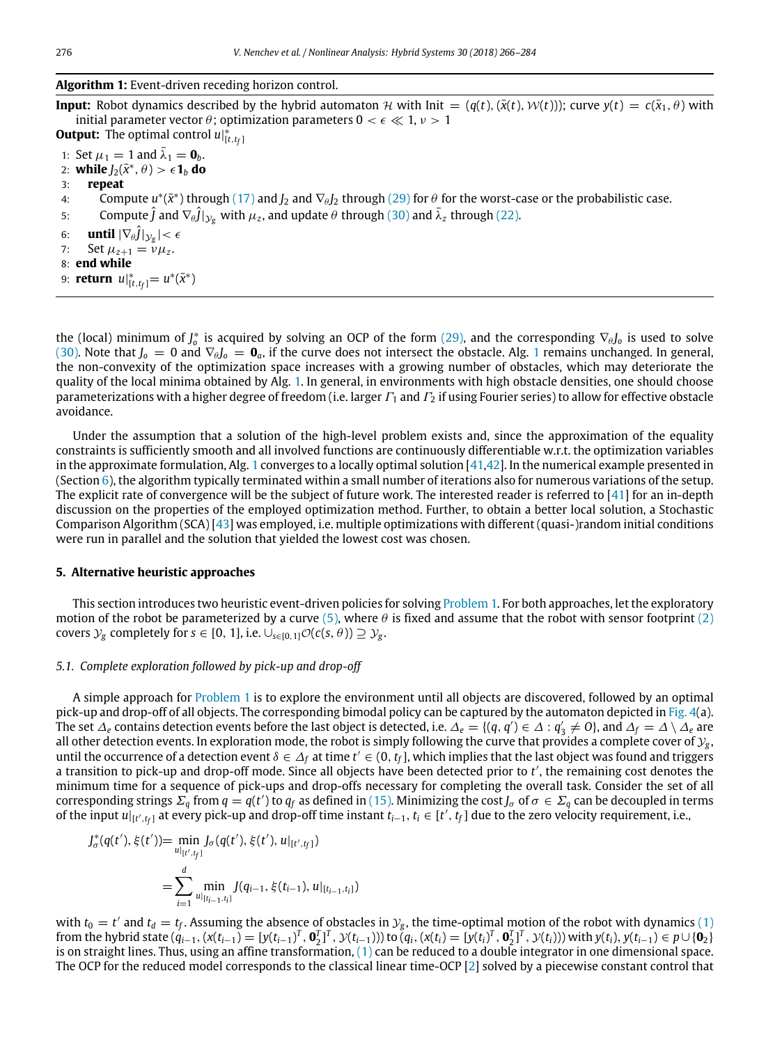# <span id="page-10-1"></span>**Algorithm 1:** Event-driven receding horizon control.

**Input:** Robot dynamics described by the hybrid automaton H with Init =  $(q(t), (\bar{x}(t), \mathcal{W}(t)))$ ; curve  $y(t) = c(\bar{x}_1, \theta)$  with initial parameter vector  $\theta$ ; optimization parameters  $0 < \epsilon \ll 1$ ,  $\nu > 1$ 

**Output:** The optimal control  $u|_{[t,t_f]}^*$ 1: Set  $\mu_1 = 1$  and  $\bar{\lambda}_1 = \mathbf{0}_b$ . 2: **while**  $J_2(\bar{x}^*, \theta) > \epsilon \mathbf{1}_b$  **do** 3: **repeat** 4: Compute  $u^*(\bar{x}^*)$  through [\(17](#page-7-2)) and  $J_2$  and  $\nabla_{\theta}J_2$  through [\(29\)](#page-9-5) for  $\theta$  for the worst-case or the probabilistic case. 5: Compute  $\hat{j}$  and  $\nabla_{\theta} \hat{j}|_{\mathcal{Y}_{g}}$  with  $\mu_{z}$ , and update  $\theta$  through ([30](#page-9-6)) and  $\bar{\lambda}_{z}$  through [\(22\)](#page-8-3). 6: **until**  $|\nabla_{\theta}\hat{j}|_{\mathcal{Y}_{g}}| < \epsilon$ 7: Set  $\mu_{z+1} = \nu \mu_z$ . 8: **end while**

9: **return**  $u|_{[t,t_f]}^* = u^*(\bar{x}^*)$ 

the (local) minimum of *J*<sub>0</sub><sup>\*</sup> is acquired by solving an OCP of the form ([29](#page-9-5)), and the corresponding  $\nabla_{\theta}J_o$  is used to solve ([30\)](#page-9-6). Note that  $J_0 = 0$  and  $\nabla_{\theta} J_0 = \mathbf{0}_a$ , if the curve does not intersect the obstacle. Alg. [1](#page-10-1) remains unchanged. In general, the non-convexity of the optimization space increases with a growing number of obstacles, which may deteriorate the quality of the local minima obtained by Alg. [1.](#page-10-1) In general, in environments with high obstacle densities, one should choose parameterizations with a higher degree of freedom (i.e. larger  $\Gamma_1$  and  $\Gamma_2$  if using Fourier series) to allow for effective obstacle avoidance.

Under the assumption that a solution of the high-level problem exists and, since the approximation of the equality constraints is sufficiently smooth and all involved functions are continuously differentiable w.r.t. the optimization variables in the approximate formulation, Alg. [1](#page-10-1) converges to a locally optimal solution  $[41,42]$  $[41,42]$  $[41,42]$ . In the numerical example presented in (Section [6](#page-11-0)), the algorithm typically terminated within a small number of iterations also for numerous variations of the setup. The explicit rate of convergence will be the subject of future work. The interested reader is referred to  $[41]$  $[41]$  $[41]$  for an in-depth discussion on the properties of the employed optimization method. Further, to obtain a better local solution, a Stochastic Comparison Algorithm (SCA) [[43](#page-18-10)] was employed, i.e. multiple optimizations with different (quasi-)random initial conditions were run in parallel and the solution that yielded the lowest cost was chosen.

## **5. Alternative heuristic approaches**

<span id="page-10-0"></span>This section introduces two heuristic event-driven policies for solving [Problem](#page-3-1) [1.](#page-3-1) For both approaches, let the exploratory motion of the robot be parameterized by a curve ([5](#page-4-3)), where  $\theta$  is fixed and assume that the robot with sensor footprint ([2](#page-2-0)) covers  $\mathcal{Y}_g$  completely for  $s \in [0, 1]$ , i.e.  $\cup_{s \in [0, 1]} \mathcal{O}(c(s, \theta)) \supseteq \mathcal{Y}_g$ .

# *5.1. Complete exploration followed by pick-up and drop-off*

A simple approach for [Problem](#page-3-1) [1](#page-3-1) is to explore the environment until all objects are discovered, followed by an optimal pick-up and drop-off of all objects. The corresponding bimodal policy can be captured by the automaton depicted in [Fig.](#page-11-1) [4](#page-11-1)(a). The set  $\Delta_e$  contains detection events before the last object is detected, i.e.  $\Delta_e=\{(q,q')\in\Delta:q'_3\neq 0\}$ , and  $\Delta_f=\Delta\setminus\Delta_e$  are all other detection events. In exploration mode, the robot is simply following the curve that provides a complete cover of  $y_g$ , until the occurrence of a detection event  $\delta\in\varDelta_f$  at time  $t'\in(0,t_f]$ , which implies that the last object was found and triggers a transition to pick-up and drop-off mode. Since all objects have been detected prior to *t* ′ , the remaining cost denotes the minimum time for a sequence of pick-ups and drop-offs necessary for completing the overall task. Consider the set of all corresponding strings  $\bar{\Sigma_q}$  from  $q=q(t')$  to  $q_f$  as defined in [\(15](#page-7-5)). Minimizing the cost  $J_\sigma$  of  $\sigma\in \bar{\Sigma_q}$  can be decoupled in terms of the input  $u|_{[t',t_f]}$  at every pick-up and drop-off time instant  $t_{i-1}, t_i \in [t', t_f]$  due to the zero velocity requirement, i.e.,

$$
J_{\sigma}^{*}(q(t'), \xi(t')) = \min_{u|_{[t', t_{f}]} \atop u|_{[t', t_{f}]} \to 0} J_{\sigma}(q(t'), \xi(t'), u|_{[t', t_{f}]} )
$$
  

$$
= \sum_{i=1}^{d} \min_{u|_{[t_{i-1}, t_i]} \in J(q_{i-1}, \xi(t_{i-1}), u|_{[t_{i-1}, t_i]})}
$$

with  $t_0 = t'$  and  $t_d = t_f$ . Assuming the absence of obstacles in  $\mathcal{Y}_g$ , the time-optimal motion of the robot with dynamics ([1](#page-2-1)) from the hybrid state  $(q_{i-1}, (x(t_{i-1}) = [y(t_{i-1})^T, \mathbf{0}_2^T]^T, y(t_{i-1})))$  to  $(q_i, (x(t_i) = [y(t_i)^T, \mathbf{0}_2^T]^T, y(t_i)))$  with  $y(t_i), y(t_{i-1}) \in p \cup \{0\}$ is on straight lines. Thus, using an affine transformation, ([1\)](#page-2-1) can be reduced to a double integrator in one dimensional space. The OCP for the reduced model corresponds to the classical linear time-OCP  $[2]$  solved by a piecewise constant control that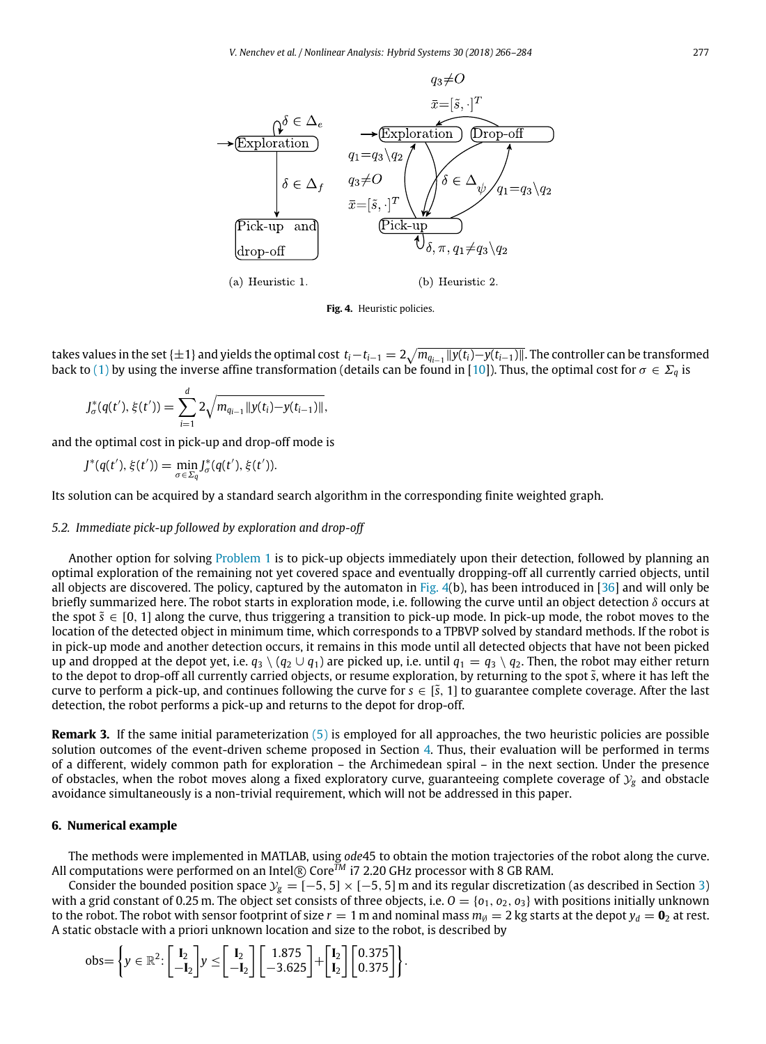

**Fig. 4.** Heuristic policies.

<span id="page-11-1"></span>takes values in the set { $\pm 1$ } and yields the optimal cost  $t_i-t_{i-1}=2\sqrt{m_{q_{i-1}}\|y(t_i)-y(t_{i-1})\|}.$  The controller can be transformed back to ([1](#page-2-1)) by using the inverse affine transformation (details can be found in [[10](#page-17-9)]). Thus, the optimal cost for  $\sigma \in \Sigma_q$  is

$$
J_{\sigma}^{*}(q(t'),\xi(t')) = \sum_{i=1}^{d} 2\sqrt{m_{q_{i-1}}||y(t_i)-y(t_{i-1})||},
$$

and the optimal cost in pick-up and drop-off mode is

$$
J^*(q(t'), \xi(t')) = \min_{\sigma \in \Sigma_q} J^*_{\sigma}(q(t'), \xi(t')).
$$

Its solution can be acquired by a standard search algorithm in the corresponding finite weighted graph.

## *5.2. Immediate pick-up followed by exploration and drop-off*

Another option for solving [Problem](#page-3-1) [1](#page-3-1) is to pick-up objects immediately upon their detection, followed by planning an optimal exploration of the remaining not yet covered space and eventually dropping-off all currently carried objects, until all objects are discovered. The policy, captured by the automaton in [Fig.](#page-11-1) [4](#page-11-1)(b), has been introduced in [[36](#page-18-3)] and will only be briefly summarized here. The robot starts in exploration mode, i.e. following the curve until an object detection  $\delta$  occurs at the spot  $\tilde{s} \in [0, 1]$  along the curve, thus triggering a transition to pick-up mode. In pick-up mode, the robot moves to the location of the detected object in minimum time, which corresponds to a TPBVP solved by standard methods. If the robot is in pick-up mode and another detection occurs, it remains in this mode until all detected objects that have not been picked up and dropped at the depot yet, i.e.  $q_3 \setminus (q_2 \cup q_1)$  are picked up, i.e. until  $q_1 = q_3 \setminus q_2$ . Then, the robot may either return to the depot to drop-off all currently carried objects, or resume exploration, by returning to the spot  $\tilde{s}$ , where it has left the curve to perform a pick-up, and continues following the curve for  $s \in [\tilde{s}, 1]$  to guarantee complete coverage. After the last detection, the robot performs a pick-up and returns to the depot for drop-off.

**Remark 3.** If the same initial parameterization [\(5](#page-4-3)) is employed for all approaches, the two heuristic policies are possible solution outcomes of the event-driven scheme proposed in Section [4](#page-4-1). Thus, their evaluation will be performed in terms of a different, widely common path for exploration – the Archimedean spiral – in the next section. Under the presence of obstacles, when the robot moves along a fixed exploratory curve, guaranteeing complete coverage of  $\mathcal{Y}_g$  and obstacle avoidance simultaneously is a non-trivial requirement, which will not be addressed in this paper.

#### **6. Numerical example**

<span id="page-11-0"></span>The methods were implemented in MATLAB, using *ode*45 to obtain the motion trajectories of the robot along the curve. All computations were performed on an Intel® Core™ i7 2.20 GHz processor with 8 GB RAM.

Consider the bounded position space  $y_g = [-5, 5] \times [-5, 5]$  m and its regular discretization (as described in Section [3](#page-4-0)) with a grid constant of 0.25 m. The object set consists of three objects, i.e.  $O = \{o_1, o_2, o_3\}$  with positions initially unknown to the robot. The robot with sensor footprint of size  $r = 1$  m and nominal mass  $m_{\emptyset} = 2$  kg starts at the depot  $y_d = \mathbf{0}_2$  at rest. A static obstacle with a priori unknown location and size to the robot, is described by

$$
obs = \left\{ y \in \mathbb{R}^2 \colon \begin{bmatrix} \mathbf{I}_2 \\ -\mathbf{I}_2 \end{bmatrix} \middle| y \leq \begin{bmatrix} \mathbf{I}_2 \\ -\mathbf{I}_2 \end{bmatrix} \begin{bmatrix} 1.875 \\ -3.625 \end{bmatrix} + \begin{bmatrix} \mathbf{I}_2 \\ \mathbf{I}_2 \end{bmatrix} \begin{bmatrix} 0.375 \\ 0.375 \end{bmatrix} \right\}.
$$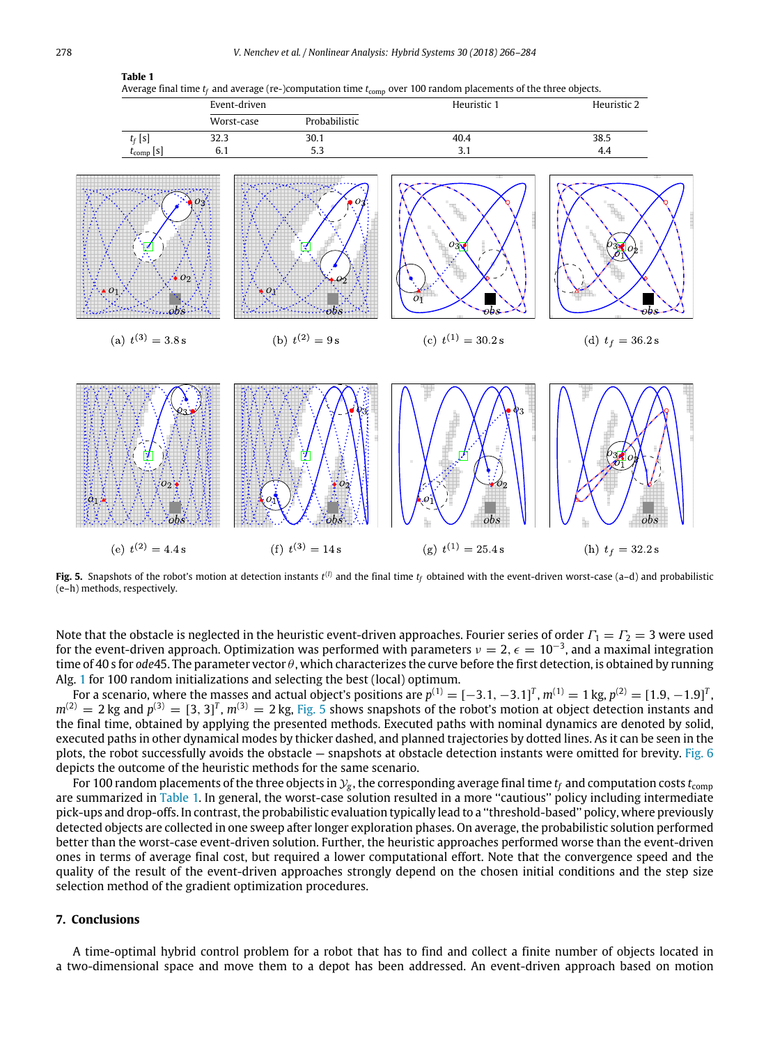

Average final time *t<sup>f</sup>* and average (re-)computation time *t*comp over 100 random placements of the three objects.

<span id="page-12-2"></span>

<span id="page-12-1"></span>**Fig. 5.** Snapshots of the robot's motion at detection instants  $t^{(l)}$  and the final time  $t_f$  obtained with the event-driven worst-case (a–d) and probabilistic (e–h) methods, respectively.

Note that the obstacle is neglected in the heuristic event-driven approaches. Fourier series of order  $\Gamma_1 = \Gamma_2 = 3$  were used for the event-driven approach. Optimization was performed with parameters  $\nu=2, \epsilon=10^{-3}$ , and a maximal integration time of 40 s for *ode*45. The parameter vector θ, which characterizes the curve before the first detection, is obtained by running Alg. [1](#page-10-1) for 100 random initializations and selecting the best (local) optimum.

For a scenario, where the masses and actual object's positions are  $p^{(1)} = [-3.1, -3.1]^T$ ,  $m^{(1)} = 1$  kg,  $p^{(2)} = [1.9, -1.9]^T$ ,  $m^{(2)}=2$  kg and  $p^{(3)}=[3,3]^T$ ,  $m^{(3)}=2$  kg, [Fig.](#page-12-1) [5](#page-12-1) shows snapshots of the robot's motion at object detection instants and the final time, obtained by applying the presented methods. Executed paths with nominal dynamics are denoted by solid, executed paths in other dynamical modes by thicker dashed, and planned trajectories by dotted lines. As it can be seen in the plots, the robot successfully avoids the obstacle — snapshots at obstacle detection instants were omitted for brevity. [Fig.](#page-13-1) [6](#page-13-1) depicts the outcome of the heuristic methods for the same scenario.

For 100 random placements of the three objects in  $\mathcal{Y}_g$ , the corresponding average final time  $t_f$  and computation costs  $t_{\rm comp}$ are summarized in [Table](#page-12-2) [1](#page-12-2). In general, the worst-case solution resulted in a more "cautious" policy including intermediate pick-ups and drop-offs. In contrast, the probabilistic evaluation typically lead to a ''threshold-based'' policy, where previously detected objects are collected in one sweep after longer exploration phases. On average, the probabilistic solution performed better than the worst-case event-driven solution. Further, the heuristic approaches performed worse than the event-driven ones in terms of average final cost, but required a lower computational effort. Note that the convergence speed and the quality of the result of the event-driven approaches strongly depend on the chosen initial conditions and the step size selection method of the gradient optimization procedures.

# **7. Conclusions**

<span id="page-12-0"></span>A time-optimal hybrid control problem for a robot that has to find and collect a finite number of objects located in a two-dimensional space and move them to a depot has been addressed. An event-driven approach based on motion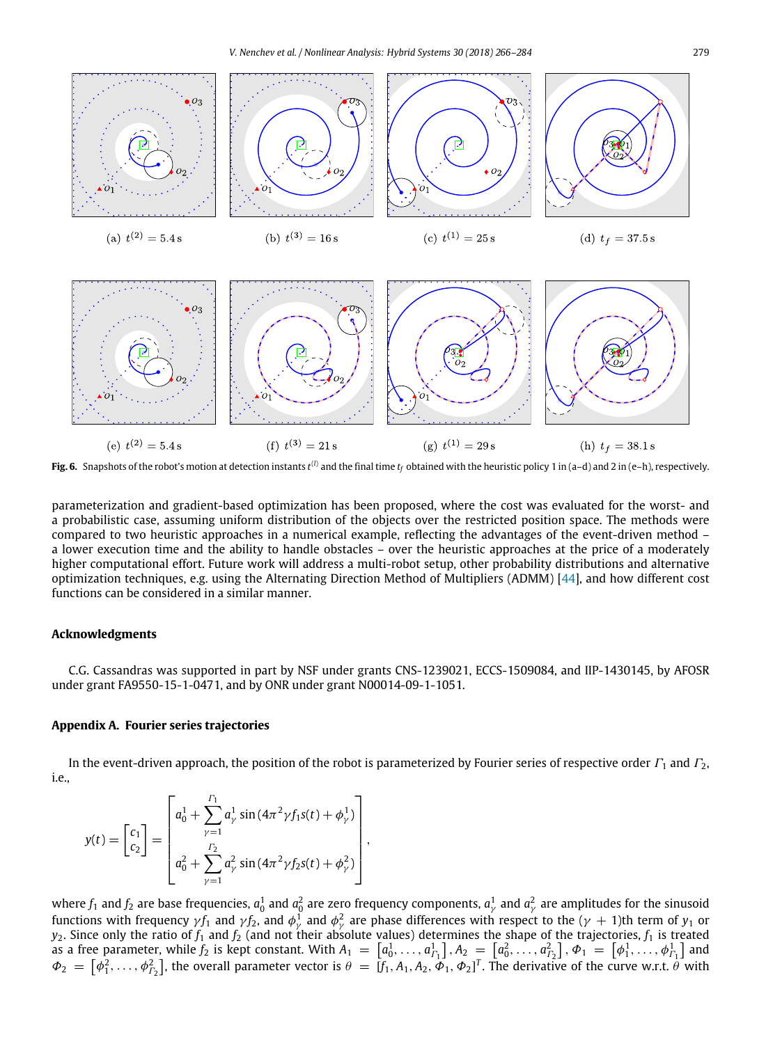

<span id="page-13-1"></span>**Fig. 6.** Snapshots of the robot's motion at detection instants  $t^{(l)}$  and the final time  $t_f$  obtained with the heuristic policy 1 in (a–d) and 2 in (e–h), respectively.

parameterization and gradient-based optimization has been proposed, where the cost was evaluated for the worst- and a probabilistic case, assuming uniform distribution of the objects over the restricted position space. The methods were compared to two heuristic approaches in a numerical example, reflecting the advantages of the event-driven method – a lower execution time and the ability to handle obstacles – over the heuristic approaches at the price of a moderately higher computational effort. Future work will address a multi-robot setup, other probability distributions and alternative optimization techniques, e.g. using the Alternating Direction Method of Multipliers (ADMM) [\[44](#page-18-11)], and how different cost functions can be considered in a similar manner.

## **Acknowledgments**

C.G. Cassandras was supported in part by NSF under grants CNS-1239021, ECCS-1509084, and IIP-1430145, by AFOSR under grant FA9550-15-1-0471, and by ONR under grant N00014-09-1-1051.

# **Appendix A. Fourier series trajectories**

<span id="page-13-0"></span>In the event-driven approach, the position of the robot is parameterized by Fourier series of respective order  $\Gamma_1$  and  $\Gamma_2$ , i.e.,

,

$$
y(t) = \begin{bmatrix} c_1 \\ c_2 \end{bmatrix} = \begin{bmatrix} a_0^1 + \sum_{\gamma=1}^{r_1} a_\gamma^1 \sin(4\pi^2 \gamma f_1 s(t) + \phi_\gamma^1) \\ a_0^2 + \sum_{\gamma=1}^{r_2} a_\gamma^2 \sin(4\pi^2 \gamma f_2 s(t) + \phi_\gamma^2) \end{bmatrix}
$$

where  $f_1$  and  $f_2$  are base frequencies,  $a_0^1$  and  $a_0^2$  are zero frequency components,  $a_\gamma^1$  and  $a_\gamma^2$  are amplitudes for the sinusoid functions with frequency  $\gamma f_1$  and  $\gamma f_2$ , and  $\phi_\gamma^1$  and  $\phi_\gamma^2$  are phase differences with respect to the ( $\gamma+1$ )th term of  $y_1$  or  $y_2$ . Since only the ratio of  $f_1$  and  $f_2$  (and not their absolute values) determines the shape of the trajectories,  $f_1$  is treated as a free parameter, while  $f_2$  is kept constant. With  $A_1\ =\ \left[a_0^1,\ldots,a_{\Gamma_1}^1\right], A_2\ =\ \left[a_0^2,\ldots,a_{\Gamma_2}^2\right], \varPhi_1\ =\ \left[\phi_1^1,\ldots,\phi_{\Gamma_1}^1\right]$  and  $\Phi_2 = \left[\phi_1^2,\ldots,\phi_{I_2}^2\right]$ , the overall parameter vector is  $\theta = \left[f_1,A_1,A_2,\tilde{\Phi_1},\Phi_2\right]^T$ . The derivative of the curve w.r.t.  $\theta$  with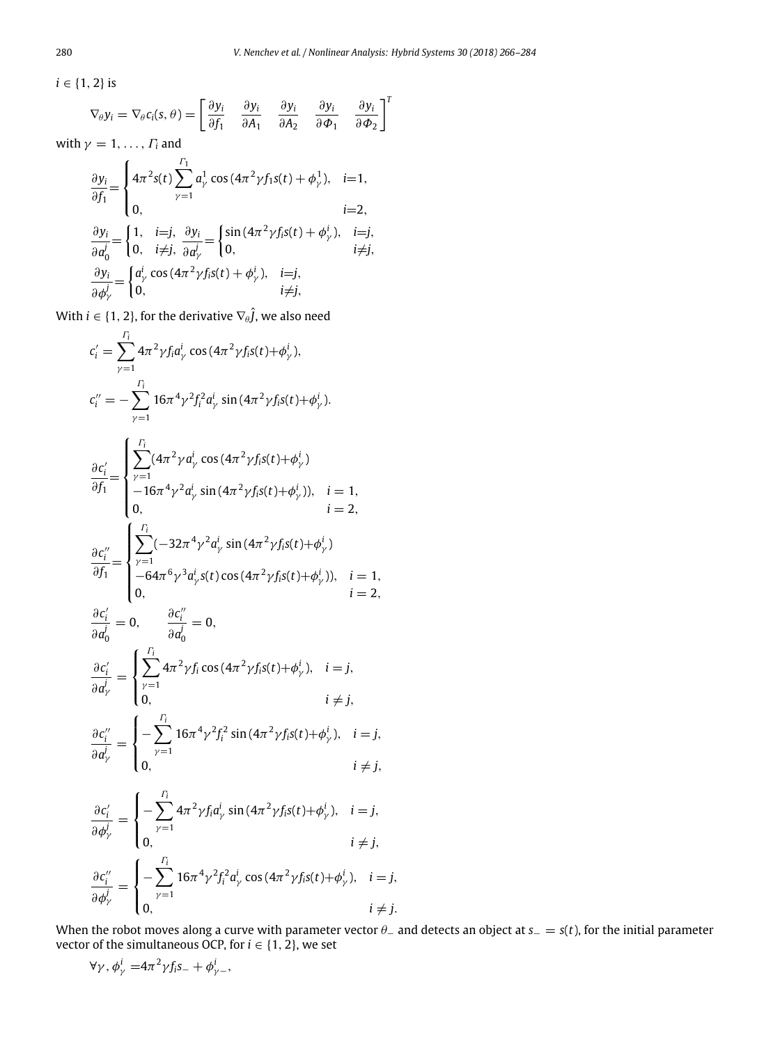$i \in \{1, 2\}$  is

$$
\nabla_{\theta} y_i = \nabla_{\theta} c_i(s, \theta) = \begin{bmatrix} \frac{\partial y_i}{\partial f_1} & \frac{\partial y_i}{\partial A_1} & \frac{\partial y_i}{\partial A_2} & \frac{\partial y_i}{\partial \Phi_1} & \frac{\partial y_i}{\partial \Phi_2} \end{bmatrix}^T
$$

with  $\gamma = 1, \ldots, \Gamma_i$  and

$$
\frac{\partial y_i}{\partial f_1} = \begin{cases}\n4\pi^2 s(t) \sum_{\gamma=1}^{F_1} a_{\gamma}^1 \cos\left(4\pi^2 \gamma f_1 s(t) + \phi_{\gamma}^1\right), & i=1, \\
0, & i=2, \\
\frac{\partial y_i}{\partial d_0^j} = \begin{cases}\n1, & i=j, \frac{\partial y_i}{\partial d_{\gamma}^j} = \begin{cases}\n\sin\left(4\pi^2 \gamma f_i s(t) + \phi_{\gamma}^i\right), & i=j, \\
0, & i \neq j,\n\end{cases} \\
\frac{\partial y_i}{\partial \phi_{\gamma}^j} = \begin{cases}\na_{\gamma}^j \cos\left(4\pi^2 \gamma f_i s(t) + \phi_{\gamma}^i\right), & i=j, \\
0, & i \neq j,\n\end{cases}\n\end{cases}
$$

With  $i\in\{1,2\}$ , for the derivative  $\nabla_\theta \hat{J}$ , we also need

$$
c'_{i} = \sum_{\gamma=1}^{F_i} 4\pi^2 \gamma f_i a_{\gamma}^{i} \cos(4\pi^2 \gamma f_i s(t) + \phi_{\gamma}^{i}),
$$
  

$$
c''_{i} = -\sum_{\gamma=1}^{F_i} 16\pi^4 \gamma^2 f_i^2 a_{\gamma}^{i} \sin(4\pi^2 \gamma f_i s(t) + \phi_{\gamma}^{i}).
$$

$$
\frac{\partial c'_{i}}{\partial f_{1}} = \begin{cases}\n\sum_{\gamma=1}^{T_{1}} (4\pi^{2} \gamma a_{\gamma}^{i} \cos(4\pi^{2} \gamma f_{i} s(t) + \phi_{\gamma}^{i}) \\
-16\pi^{4} \gamma^{2} a_{\gamma}^{i} \sin(4\pi^{2} \gamma f_{i} s(t) + \phi_{\gamma}^{i}), & i = 1, \\
0, & i = 2, \\
\frac{\partial c''_{i}}{\partial f_{1}} = \begin{cases}\n\sum_{\gamma=1}^{T_{1}} (-32\pi^{4} \gamma^{2} a_{\gamma}^{i} \sin(4\pi^{2} \gamma f_{i} s(t) + \phi_{\gamma}^{i}) \\
-64\pi^{6} \gamma^{3} a_{\gamma}^{i} s(t) \cos(4\pi^{2} \gamma f_{i} s(t) + \phi_{\gamma}^{i}), & i = 1, \\
0, & i = 2, \\
\frac{\partial c'_{i}}{\partial a_{0}^{i}} = 0, & \frac{\partial c''_{i}}{\partial a_{0}^{i}} = 0, \\
\frac{\partial c'_{i}}{\partial a_{\gamma}^{i}} = \begin{cases}\n\sum_{\gamma=1}^{T_{1}} 4\pi^{2} \gamma f_{i} \cos(4\pi^{2} \gamma f_{i} s(t) + \phi_{\gamma}^{i}), & i = j, \\
0, & i \neq j, \\
0, & i \neq j, \\
0, & i \neq j,\n\end{cases} \\
\frac{\partial c''_{i}}{\partial a_{\gamma}^{i}} = \begin{cases}\n-\sum_{\gamma=1}^{T_{1}} 16\pi^{4} \gamma^{2} f_{i}^{2} \sin(4\pi^{2} \gamma f_{i} s(t) + \phi_{\gamma}^{i}), & i = j, \\
0, & i \neq j, \\
0, & i \neq j, \\
0, & i \neq j.\n\end{cases}
$$

$$
\frac{\partial c_i'}{\partial \phi_{\gamma}^j} = \begin{cases}\n-\sum_{\gamma=1}^{\infty} 4\pi^2 \gamma f_i a_{\gamma}^i \sin(4\pi^2 \gamma f_i s(t) + \phi_{\gamma}^i), & i = j, \\
0, & i \neq j, \\
\frac{\partial c_i''}{\partial \phi_{\gamma}^j} = \begin{cases}\n-\sum_{\gamma=1}^{F_i} 16\pi^4 \gamma^2 f_i^2 a_{\gamma}^i \cos(4\pi^2 \gamma f_i s(t) + \phi_{\gamma}^i), & i = j, \\
0, & i \neq j.\n\end{cases}
$$

When the robot moves along a curve with parameter vector  $θ$ <sub>−</sub> and detects an object at *s*<sub>−</sub> = *s*(*t*), for the initial parameter vector of the simultaneous OCP, for  $i \in \{1, 2\}$ , we set

$$
\forall \gamma, \phi^i_{\gamma} = 4\pi^2 \gamma f_i s_- + \phi^i_{\gamma -},
$$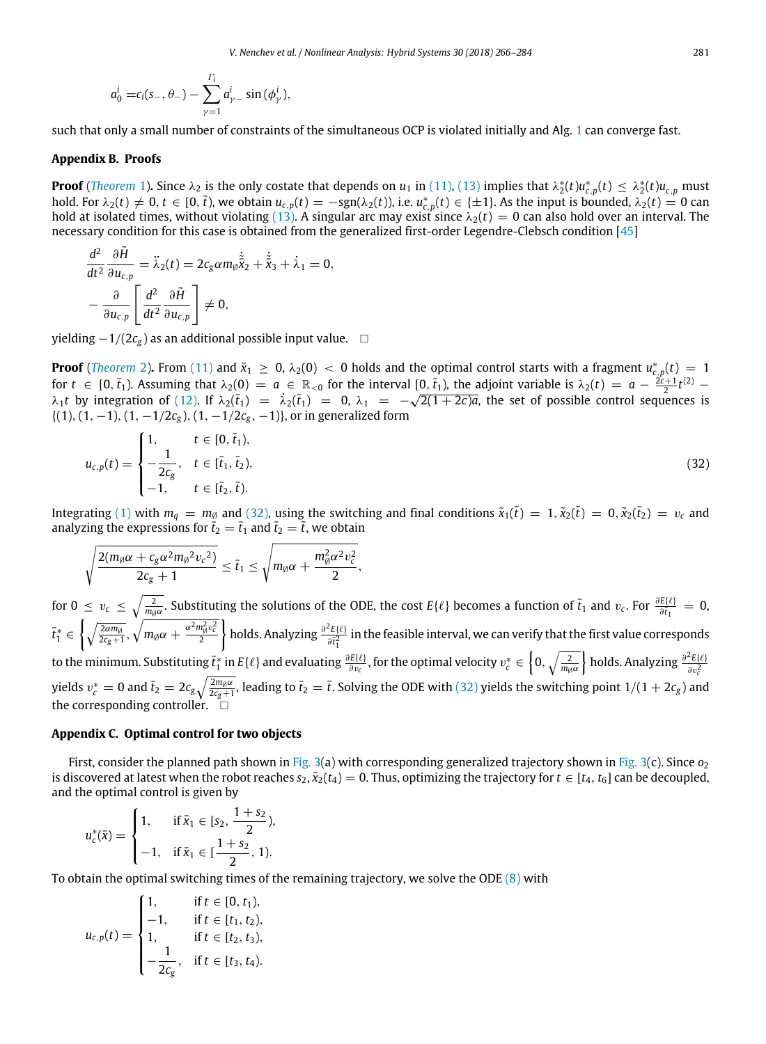$$
a_0^i = c_i(s_-, \theta_-) - \sum_{\gamma=1}^{I_i} a_{\gamma-}^i \sin(\phi_{\gamma}^i),
$$

such that only a small number of constraints of the simultaneous OCP is violated initially and Alg. [1](#page-10-1) can converge fast.

#### **Appendix B. Proofs**

<span id="page-15-0"></span>**Proof** (*[Theorem](#page-6-2)* [1\)](#page-6-2). Since  $\lambda_2$  is the only costate that depends on  $u_1$  in [\(11](#page-5-3)), ([13](#page-6-3)) implies that  $\lambda_2^*(t)u_{c,p}^*(t) \leq \lambda_2^*(t)u_{c,p}$  must hold. For  $\lambda_2(t) \neq 0$ ,  $t \in [0, \tilde{t})$ , we obtain  $u_{c,p}(t) = -\text{sgn}(\lambda_2(t))$ , i.e.  $u_{c,p}^*(t) \in \{\pm 1\}$ . As the input is bounded,  $\lambda_2(t) = 0$  can hold at isolated times, without violating ([13](#page-6-3)). A singular arc may exist since  $\lambda_2(t) = 0$  can also hold over an interval. The necessary condition for this case is obtained from the generalized first-order Legendre-Clebsch condition [\[45\]](#page-18-12)

$$
\frac{d^2}{dt^2} \frac{\partial \tilde{H}}{\partial u_{c,p}} = \ddot{\lambda}_2(t) = 2c_g \alpha m_\theta \dot{\tilde{\bar{\mathbf{x}}}}_2 + \dot{\tilde{\bar{\mathbf{x}}}}_3 + \dot{\lambda}_1 = 0, \n- \frac{\partial}{\partial u_{c,p}} \left[ \frac{d^2}{dt^2} \frac{\partial \tilde{H}}{\partial u_{c,p}} \right] \neq 0,
$$

yielding  $-1/(2c_g)$  as an additional possible input value. □

**Proof** (*[Theorem](#page-6-4)* [2](#page-6-4)). From ([11](#page-5-3)) and  $\tilde{x}_1 \ge 0$ ,  $\lambda_2(0) < 0$  holds and the optimal control starts with a fragment  $u_{c,p}^*(t) = 1$ for  $t \in [0, \bar{t}_1)$ . Assuming that  $\lambda_2(0) = a \in \mathbb{R}_{\leq 0}$  for the interval  $[0, \bar{t}_1)$ , the adjoint variable is  $\lambda_2(t) = a - \frac{\tilde{t}c + 1}{2}t^{(2)}$  $λ_1 t$  by integration of [\(12](#page-6-5)). If  $λ_2(t) = u ∈ ℝ<sub>0</sub>$  for the interval [0, t<sub>1</sub>], the adjoint variable is  $λ_2(t) = u - \frac{1}{2}(t^2) - \frac{1}{2}(t)$ <br> $λ_1 t$  by integration of (12). If  $λ_2(\bar{t}_1) = λ_2(\bar{t}_1) = 0$ ,  $λ_1 = -\sqrt{2(1+2c)a}$ , {(1), (1, −1), (1, −1/2*c<sup>g</sup>* ), (1, −1/2*c<sup>g</sup>* , −1)}, or in generalized form

<span id="page-15-2"></span>
$$
u_{c,p}(t) = \begin{cases} 1, & t \in [0, \bar{t}_1), \\ -\frac{1}{2c_g}, & t \in [\bar{t}_1, \bar{t}_2), \\ -1, & t \in [\bar{t}_2, \tilde{t}). \end{cases}
$$
(32)

Integrating [\(1\)](#page-2-1) with  $m_q = m_\emptyset$  and [\(32\)](#page-15-2), using the switching and final conditions  $\tilde{x}_1(\tilde{t}) = 1, \tilde{x}_2(\tilde{t}) = 0, \tilde{x}_2(\tilde{t}_2) = v_c$  and analyzing the expressions for  $\tilde{t}_2 = \tilde{t}_1$  and  $\tilde{t}_2 = \tilde{t}$ , we obtain

$$
\sqrt{\frac{2(m_\theta\alpha+c_g\alpha^2m_{\theta}^2v_c^2)}{2c_g+1}}\leq \overline{t}_1\leq \sqrt{m_\theta\alpha+\frac{m_\theta^2\alpha^2v_c^2}{2}},
$$

 $\frac{d}{dr}$  or  $0 \leq v_c \leq \sqrt{\frac{2}{m_\theta\alpha}}$ . Substituting the solutions of the ODE, the cost  $E\{\ell\}$  becomes a function of  $\overline{t}_1$  and  $v_c$ . For  $\frac{\partial E\{\ell\}}{\partial \overline{t}_1} = 0$ ,  $\bar{t}_{1}^* \in \left\{\sqrt{\frac{2\alpha m_{\beta}}{2c_{g}+1}},\sqrt{m_{\beta}\alpha+\frac{\alpha^2m_{\beta}^2v_{c}^2}{2}}\right\}$ ∂<sup>2</sup><sub>∂te}</sub> in the feasible interval, we can verify that the first value corresponds<br>and the first value corresponds to the minimum. Substituting  $\bar{t}_1^*$  in  $E\{\ell\}$  and evaluating  $\frac{\partial E\{\ell\}}{\partial v_c}$ , for the optimal velocity  $v_c^*\in\left\{0,\sqrt{\frac{2}{m_{\theta}\alpha}}\right\}$  holds. Analyzing  $\frac{\partial^2 E\{\ell\}}{\partial v_c^2}$ ∂v<sup>2</sup> *c* yields  $v_c^*=0$  and  $\bar{t}_2=2c_g\sqrt{\frac{2m_\theta\alpha}{2c_g+1}}$ , leading to  $\bar{t}_2=\tilde{t}$ . Solving the ODE with [\(32\)](#page-15-2) yields the switching point 1/(1 + 2 $c_g$ ) and the corresponding controller.  $\Box$ 

## **Appendix C. Optimal control for two objects**

<span id="page-15-1"></span>First, consider the planned path shown in [Fig.](#page-6-1) [3](#page-6-1)(a) with corresponding generalized trajectory shown in [Fig.](#page-6-1) [3\(](#page-6-1)c). Since *o*<sup>2</sup> is discovered at latest when the robot reaches  $s_2$ ,  $\bar{x}_2(t_4) = 0$ . Thus, optimizing the trajectory for  $t \in [t_4, t_6]$  can be decoupled, and the optimal control is given by

$$
u_c^*(\bar{x}) = \begin{cases} 1, & \text{if } \bar{x}_1 \in [s_2, \frac{1+s_2}{2}), \\ -1, & \text{if } \bar{x}_1 \in [\frac{1+s_2}{2}, 1). \end{cases}
$$

To obtain the optimal switching times of the remaining trajectory, we solve the ODE  $(8)$  $(8)$  with

$$
u_{c,p}(t) = \begin{cases} 1, & \text{if } t \in [0, t_1), \\ -1, & \text{if } t \in [t_1, t_2), \\ 1, & \text{if } t \in [t_2, t_3), \\ -\frac{1}{2c_g}, & \text{if } t \in [t_3, t_4). \end{cases}
$$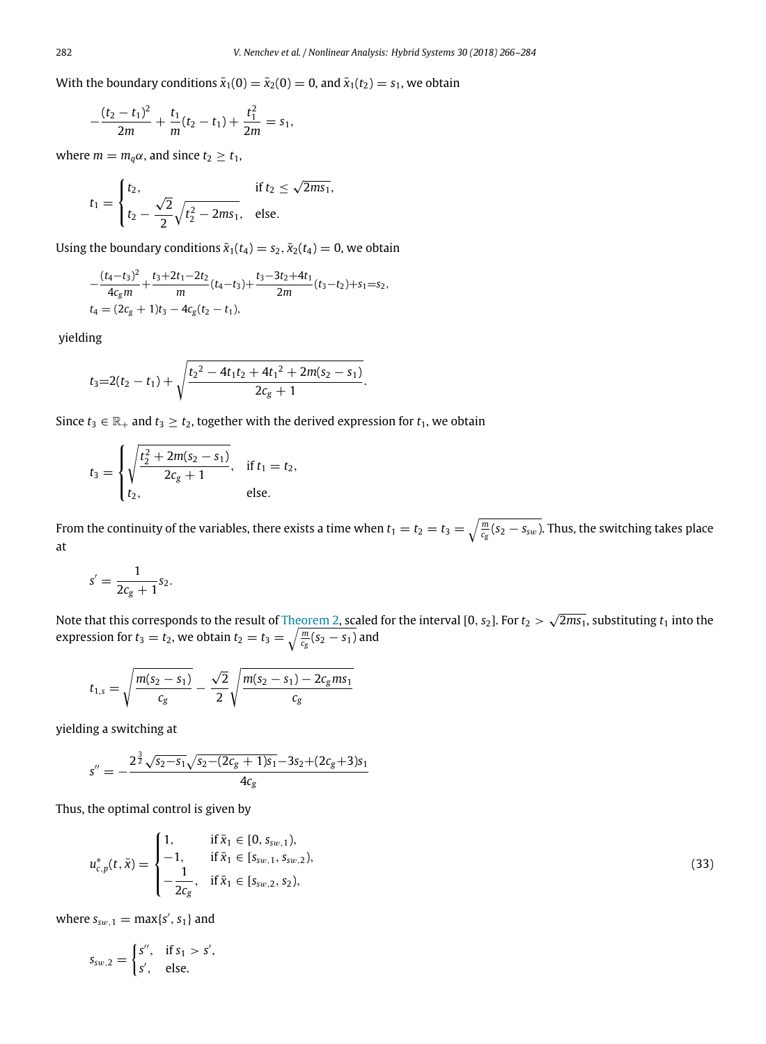With the boundary conditions  $\bar{x}_1(0) = \bar{x}_2(0) = 0$ , and  $\bar{x}_1(t_2) = s_1$ , we obtain

= *s*1,

$$
-\frac{(t_2-t_1)^2}{2m}+\frac{t_1}{m}(t_2-t_1)+\frac{t_1^2}{2m}=s_1
$$

where  $m = m_q \alpha$ , and since  $t_2 \geq t_1$ ,

$$
t_1 = \begin{cases} t_2, & \text{if } t_2 \le \sqrt{2m s_1}, \\ t_2 - \frac{\sqrt{2}}{2} \sqrt{t_2^2 - 2m s_1}, & \text{else.} \end{cases}
$$

Using the boundary conditions  $\bar{x}_1(t_4) = s_2$ ,  $\bar{x}_2(t_4) = 0$ , we obtain

$$
-\frac{(t_4-t_3)^2}{4c_g m} + \frac{t_3+2t_1-2t_2}{m}(t_4-t_3) + \frac{t_3-3t_2+4t_1}{2m}(t_3-t_2) + s_1 = s_2,
$$
  

$$
t_4 = (2c_g + 1)t_3 - 4c_g(t_2 - t_1),
$$

yielding

$$
t_3=2(t_2-t_1)+\sqrt{\frac{t_2^2-4t_1t_2+4t_1^2+2m(s_2-s_1)}{2c_g+1}}.
$$

Since  $t_3 \in \mathbb{R}_+$  and  $t_3 \ge t_2$ , together with the derived expression for  $t_1$ , we obtain

$$
t_3 = \begin{cases} \sqrt{\frac{t_2^2 + 2m(s_2 - s_1)}{2c_g + 1}}, & \text{if } t_1 = t_2, \\ t_2, & \text{else.} \end{cases}
$$

From the continuity of the variables, there exists a time when  $t_1=t_2=t_3=\sqrt{\frac{m}{c_g}(s_2-s_{sw})}$ . Thus, the switching takes place at

$$
s'=\frac{1}{2c_g+1}s_2.
$$

Note that this corresponds to the result of The<u>orem [2](#page-6-4), sc</u>aled for the interval [0,  $s_2$ ]. For  $t_2>\surd$ 2*ms*1, substituting *t*<sup>1</sup> into the expression for  $t_3 = t_2$ , we obtain  $t_2 = t_3 = \sqrt{\frac{m}{c_{\text{g}}}(s_2 - s_1)}$  and

$$
t_{1,s} = \sqrt{\frac{m(s_2 - s_1)}{c_g}} - \frac{\sqrt{2}}{2} \sqrt{\frac{m(s_2 - s_1) - 2c_g m s_1}{c_g}}
$$

yielding a switching at

$$
s'' = -\frac{2^{\frac{3}{2}}\sqrt{s_2 - s_1}\sqrt{s_2 - (2c_g + 1)s_1} - 3s_2 + (2c_g + 3)s_1}{4c_g}
$$

<span id="page-16-0"></span>′ ,

Thus, the optimal control is given by

$$
u_{c,p}^{*}(t,\bar{x}) = \begin{cases} 1, & \text{if } \bar{x}_1 \in [0,s_{sw,1}), \\ -1, & \text{if } \bar{x}_1 \in [s_{sw,1}, s_{sw,2}), \\ -\frac{1}{2c_g}, & \text{if } \bar{x}_1 \in [s_{sw,2}, s_2), \end{cases}
$$
(33)

where  $s_{sw,1} = \max\{s', s_1\}$  and

$$
s_{sw,2} = \begin{cases} s'', & \text{if } s_1 > s \\ s', & \text{else.} \end{cases}
$$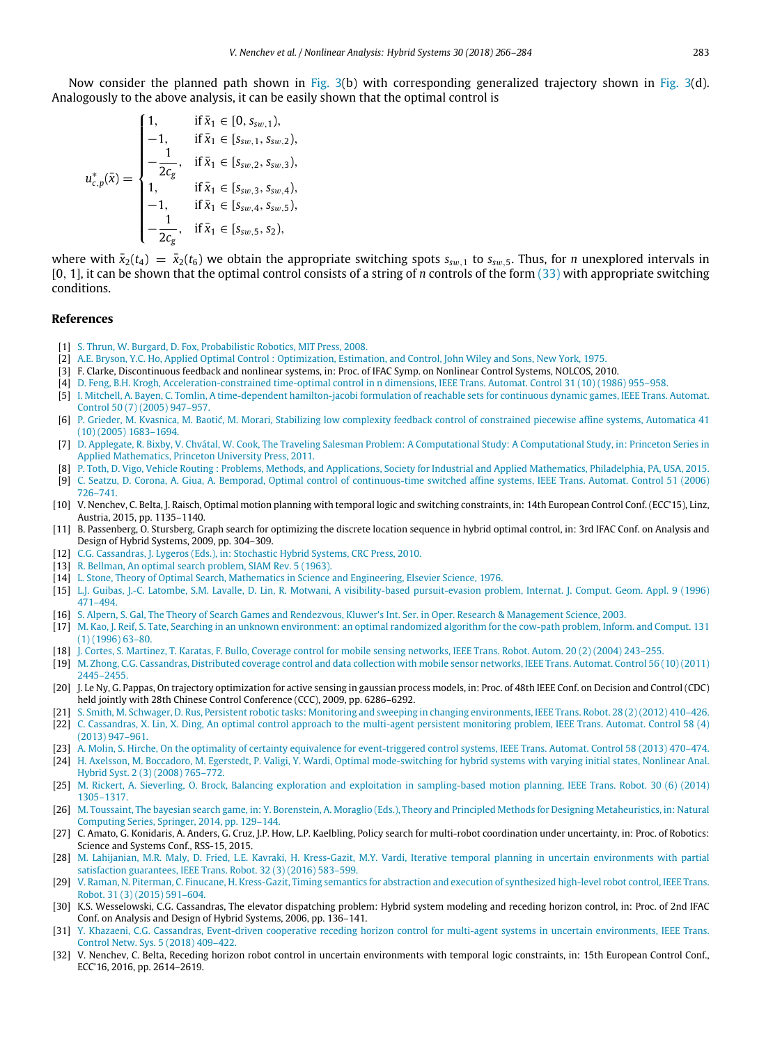$$
u_{c,p}^{*}(\bar{x}) = \begin{cases} 1, & \text{if } \bar{x}_1 \in [0, s_{sw,1}), \\ -1, & \text{if } \bar{x}_1 \in [s_{sw,1}, s_{sw,2}), \\ -\frac{1}{2c_g}, & \text{if } \bar{x}_1 \in [s_{sw,2}, s_{sw,3}), \\ 1, & \text{if } \bar{x}_1 \in [s_{sw,3}, s_{sw,4}), \\ -1, & \text{if } \bar{x}_1 \in [s_{sw,4}, s_{sw,5}), \\ -\frac{1}{2c_g}, & \text{if } \bar{x}_1 \in [s_{sw,5}, s_2), \end{cases}
$$

where with  $\bar{x}_2(t_4) = \bar{x}_2(t_6)$  we obtain the appropriate switching spots  $s_{sw,1}$  to  $s_{sw,5}$ . Thus, for *n* unexplored intervals in [0, 1], it can be shown that the optimal control consists of a string of *n* controls of the form ([33](#page-16-0)) with appropriate switching conditions.

#### **References**

- <span id="page-17-0"></span>[1] [S. Thrun, W. Burgard, D. Fox, Probabilistic Robotics, MIT Press, 2008.](http://refhub.elsevier.com/S1751-570X(18)30054-2/b1)
- <span id="page-17-1"></span>[2] [A.E. Bryson, Y.C. Ho, Applied Optimal Control : Optimization, Estimation, and Control, John Wiley and Sons, New York, 1975.](http://refhub.elsevier.com/S1751-570X(18)30054-2/b2)
- <span id="page-17-2"></span>[3] F. Clarke, Discontinuous feedback and nonlinear systems, in: Proc. of IFAC Symp. on Nonlinear Control Systems, NOLCOS, 2010.
- <span id="page-17-3"></span>[4] [D. Feng, B.H. Krogh, Acceleration-constrained time-optimal control in n dimensions, IEEE Trans. Automat. Control 31 \(10\) \(1986\) 955–958.](http://refhub.elsevier.com/S1751-570X(18)30054-2/b4)
- <span id="page-17-4"></span>[5] [I. Mitchell, A. Bayen, C. Tomlin, A time-dependent hamilton-jacobi formulation of reachable sets for continuous dynamic games, IEEE Trans. Automat.](http://refhub.elsevier.com/S1751-570X(18)30054-2/b5) [Control 50 \(7\) \(2005\) 947–957.](http://refhub.elsevier.com/S1751-570X(18)30054-2/b5)
- <span id="page-17-5"></span>[6] [P. Grieder, M. Kvasnica, M. Baotić, M. Morari, Stabilizing low complexity feedback control of constrained piecewise affine systems, Automatica 41](http://refhub.elsevier.com/S1751-570X(18)30054-2/b6) [\(10\) \(2005\) 1683–1694.](http://refhub.elsevier.com/S1751-570X(18)30054-2/b6)
- <span id="page-17-6"></span>[7] [D. Applegate, R. Bixby, V. Chvátal, W. Cook, The Traveling Salesman Problem: A Computational Study: A Computational Study, in: Princeton Series in](http://refhub.elsevier.com/S1751-570X(18)30054-2/b7) [Applied Mathematics, Princeton University Press, 2011.](http://refhub.elsevier.com/S1751-570X(18)30054-2/b7)
- <span id="page-17-7"></span>[8] [P. Toth, D. Vigo, Vehicle Routing : Problems, Methods, and Applications, Society for Industrial and Applied Mathematics, Philadelphia, PA, USA, 2015.](http://refhub.elsevier.com/S1751-570X(18)30054-2/b8)
- <span id="page-17-8"></span>[9] [C. Seatzu, D. Corona, A. Giua, A. Bemporad, Optimal control of continuous-time switched affine systems, IEEE Trans. Automat. Control 51 \(2006\)](http://refhub.elsevier.com/S1751-570X(18)30054-2/b9) [726–741.](http://refhub.elsevier.com/S1751-570X(18)30054-2/b9)
- <span id="page-17-9"></span>[10] V. Nenchev, C. Belta, J. Raisch, Optimal motion planning with temporal logic and switching constraints, in: 14th European Control Conf. (ECC'15), Linz, Austria, 2015, pp. 1135–1140.
- <span id="page-17-10"></span>[11] B. Passenberg, O. Stursberg, Graph search for optimizing the discrete location sequence in hybrid optimal control, in: 3rd IFAC Conf. on Analysis and Design of Hybrid Systems, 2009, pp. 304–309.
- <span id="page-17-11"></span>[12] [C.G. Cassandras, J. Lygeros \(Eds.\), in: Stochastic Hybrid Systems, CRC Press, 2010.](http://refhub.elsevier.com/S1751-570X(18)30054-2/b12)
- <span id="page-17-12"></span>[13] [R. Bellman, An optimal search problem, SIAM Rev. 5 \(1963\).](http://refhub.elsevier.com/S1751-570X(18)30054-2/b13)
- <span id="page-17-13"></span>[14] [L. Stone, Theory of Optimal Search, Mathematics in Science and Engineering, Elsevier Science, 1976.](http://refhub.elsevier.com/S1751-570X(18)30054-2/b14)
- <span id="page-17-14"></span>[15] [L.J. Guibas, J.-C. Latombe, S.M. Lavalle, D. Lin, R. Motwani, A visibility-based pursuit-evasion problem, Internat. J. Comput. Geom. Appl. 9 \(1996\)](http://refhub.elsevier.com/S1751-570X(18)30054-2/b15) [471–494.](http://refhub.elsevier.com/S1751-570X(18)30054-2/b15)
- <span id="page-17-15"></span>[16] [S. Alpern, S. Gal, The Theory of Search Games and Rendezvous, Kluwer's Int. Ser. in Oper. Research & Management Science, 2003.](http://refhub.elsevier.com/S1751-570X(18)30054-2/b16)
- <span id="page-17-16"></span>[17] [M. Kao, J. Reif, S. Tate, Searching in an unknown environment: an optimal randomized algorithm for the cow-path problem, Inform. and Comput. 131](http://refhub.elsevier.com/S1751-570X(18)30054-2/b17) [\(1\) \(1996\) 63–80.](http://refhub.elsevier.com/S1751-570X(18)30054-2/b17)
- <span id="page-17-17"></span>[18] [J. Cortes, S. Martinez, T. Karatas, F. Bullo, Coverage control for mobile sensing networks, IEEE Trans. Robot. Autom. 20 \(2\) \(2004\) 243–255.](http://refhub.elsevier.com/S1751-570X(18)30054-2/b18)
- <span id="page-17-18"></span>[19] [M. Zhong, C.G. Cassandras, Distributed coverage control and data collection with mobile sensor networks, IEEE Trans. Automat. Control 56 \(10\) \(2011\)](http://refhub.elsevier.com/S1751-570X(18)30054-2/b19) [2445–2455.](http://refhub.elsevier.com/S1751-570X(18)30054-2/b19)
- <span id="page-17-19"></span>[20] J. Le Ny, G. Pappas, On trajectory optimization for active sensing in gaussian process models, in: Proc. of 48th IEEE Conf. on Decision and Control (CDC) held jointly with 28th Chinese Control Conference (CCC), 2009, pp. 6286–6292.
- <span id="page-17-20"></span>[21] [S. Smith, M. Schwager, D. Rus, Persistent robotic tasks: Monitoring and sweeping in changing environments, IEEE Trans. Robot. 28 \(2\) \(2012\) 410–426.](http://refhub.elsevier.com/S1751-570X(18)30054-2/b21)
- <span id="page-17-21"></span>[22] [C. Cassandras, X. Lin, X. Ding, An optimal control approach to the multi-agent persistent monitoring problem, IEEE Trans. Automat. Control 58 \(4\)](http://refhub.elsevier.com/S1751-570X(18)30054-2/b22) [\(2013\) 947–961.](http://refhub.elsevier.com/S1751-570X(18)30054-2/b22)
- <span id="page-17-22"></span>[23] [A. Molin, S. Hirche, On the optimality of certainty equivalence for event-triggered control systems, IEEE Trans. Automat. Control 58 \(2013\) 470–474.](http://refhub.elsevier.com/S1751-570X(18)30054-2/b23)
- <span id="page-17-23"></span>[24] [H. Axelsson, M. Boccadoro, M. Egerstedt, P. Valigi, Y. Wardi, Optimal mode-switching for hybrid systems with varying initial states, Nonlinear Anal.](http://refhub.elsevier.com/S1751-570X(18)30054-2/b24) [Hybrid Syst. 2 \(3\) \(2008\) 765–772.](http://refhub.elsevier.com/S1751-570X(18)30054-2/b24)
- <span id="page-17-24"></span>[25] [M. Rickert, A. Sieverling, O. Brock, Balancing exploration and exploitation in sampling-based motion planning, IEEE Trans. Robot. 30 \(6\) \(2014\)](http://refhub.elsevier.com/S1751-570X(18)30054-2/b25) [1305–1317.](http://refhub.elsevier.com/S1751-570X(18)30054-2/b25)
- <span id="page-17-25"></span>[26] [M. Toussaint, The bayesian search game, in: Y. Borenstein, A. Moraglio \(Eds.\), Theory and Principled Methods for Designing Metaheuristics, in: Natural](http://refhub.elsevier.com/S1751-570X(18)30054-2/b26) [Computing Series, Springer, 2014, pp. 129–144.](http://refhub.elsevier.com/S1751-570X(18)30054-2/b26)
- <span id="page-17-26"></span>[27] C. Amato, G. Konidaris, A. Anders, G. Cruz, J.P. How, L.P. Kaelbling, Policy search for multi-robot coordination under uncertainty, in: Proc. of Robotics: Science and Systems Conf., RSS-15, 2015.
- <span id="page-17-27"></span>[28] [M. Lahijanian, M.R. Maly, D. Fried, L.E. Kavraki, H. Kress-Gazit, M.Y. Vardi, Iterative temporal planning in uncertain environments with partial](http://refhub.elsevier.com/S1751-570X(18)30054-2/b28) [satisfaction guarantees, IEEE Trans. Robot. 32 \(3\) \(2016\) 583–599.](http://refhub.elsevier.com/S1751-570X(18)30054-2/b28)
- <span id="page-17-28"></span>[29] [V. Raman, N. Piterman, C. Finucane, H. Kress-Gazit, Timing semantics for abstraction and execution of synthesized high-level robot control, IEEE Trans.](http://refhub.elsevier.com/S1751-570X(18)30054-2/b29) [Robot. 31 \(3\) \(2015\) 591–604.](http://refhub.elsevier.com/S1751-570X(18)30054-2/b29)
- <span id="page-17-29"></span>[30] K.S. Wesselowski, C.G. Cassandras, The elevator dispatching problem: Hybrid system modeling and receding horizon control, in: Proc. of 2nd IFAC Conf. on Analysis and Design of Hybrid Systems, 2006, pp. 136–141.
- <span id="page-17-30"></span>[31] [Y. Khazaeni, C.G. Cassandras, Event-driven cooperative receding horizon control for multi-agent systems in uncertain environments, IEEE Trans.](http://refhub.elsevier.com/S1751-570X(18)30054-2/b31) [Control Netw. Sys. 5 \(2018\) 409–422.](http://refhub.elsevier.com/S1751-570X(18)30054-2/b31)
- <span id="page-17-31"></span>[32] V. Nenchev, C. Belta, Receding horizon robot control in uncertain environments with temporal logic constraints, in: 15th European Control Conf., ECC'16, 2016, pp. 2614–2619.